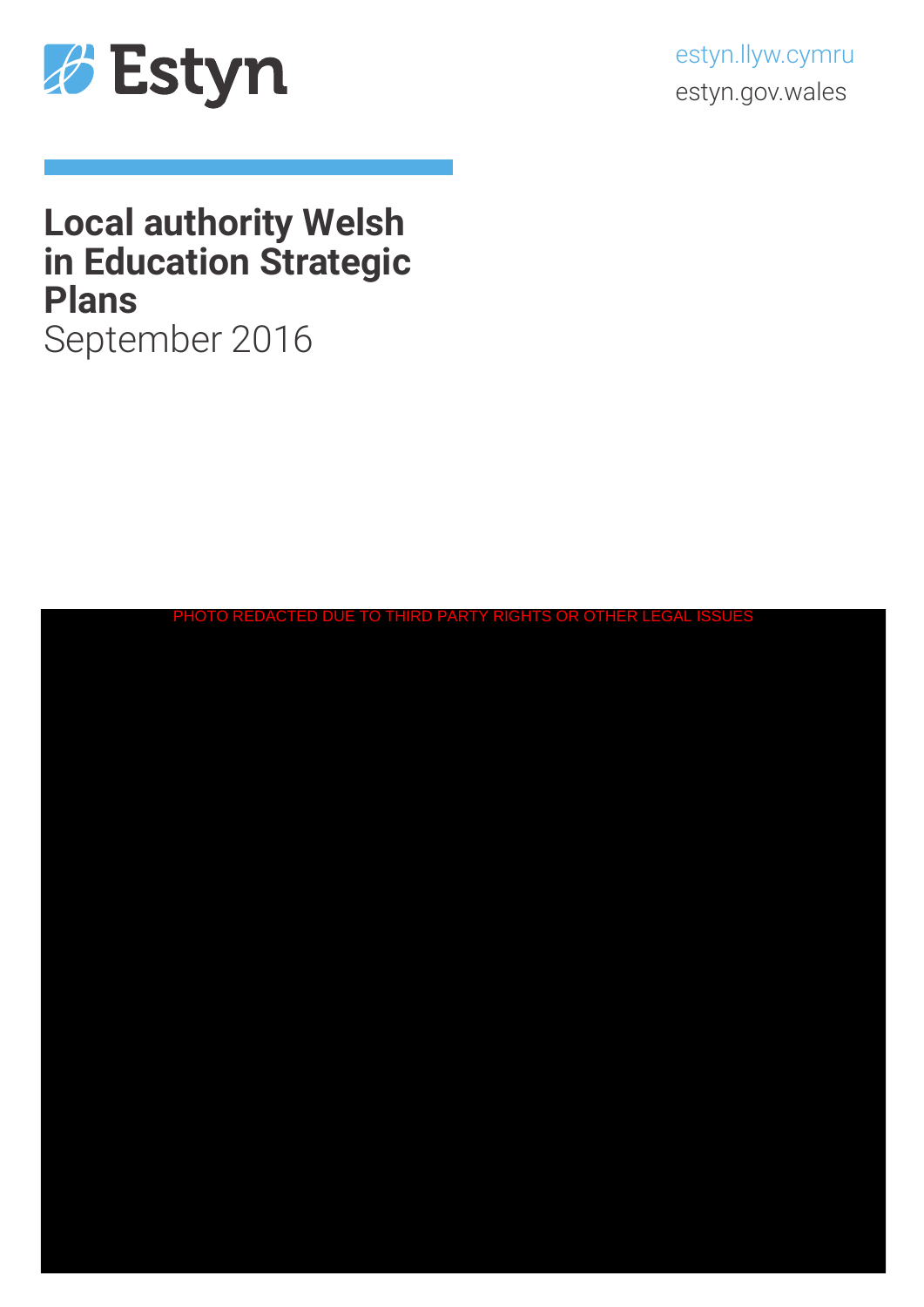

estyn.llyw.cymru estyn.gov.wales

# **Local authority Welsh in Education Strategic Plans** September 2016

| PHOTO REDACTED DUE TO THIRD PARTY RIGHTS OR OTHER LEGAL ISSUES |
|----------------------------------------------------------------|
|                                                                |
|                                                                |
|                                                                |
|                                                                |
|                                                                |
|                                                                |
|                                                                |
|                                                                |
|                                                                |
|                                                                |
|                                                                |
|                                                                |
|                                                                |
|                                                                |
|                                                                |
|                                                                |
|                                                                |
|                                                                |
|                                                                |
|                                                                |
|                                                                |
|                                                                |
|                                                                |
|                                                                |
|                                                                |
|                                                                |
|                                                                |
|                                                                |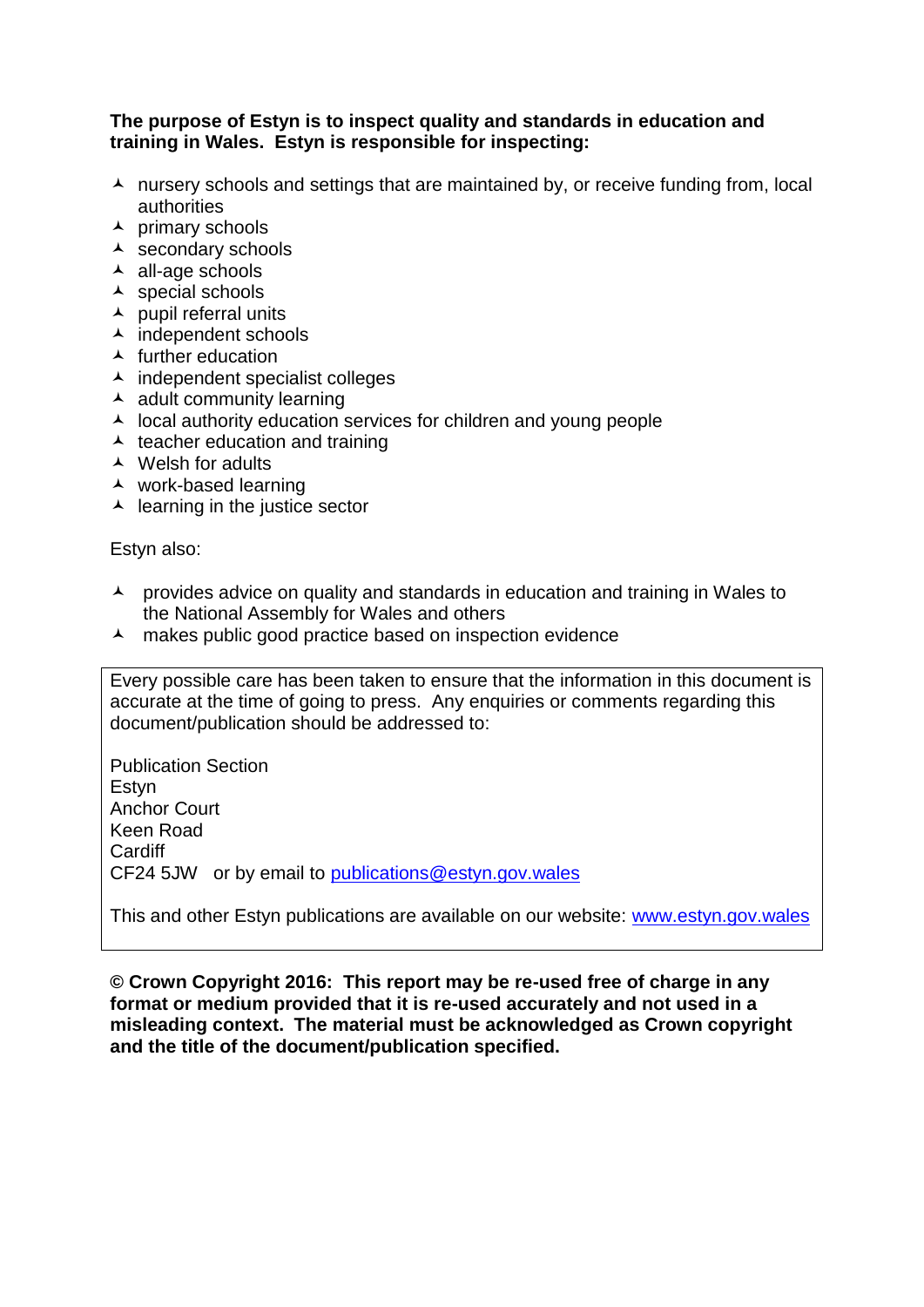### **The purpose of Estyn is to inspect quality and standards in education and training in Wales. Estyn is responsible for inspecting:**

- $\lambda$  nursery schools and settings that are maintained by, or receive funding from, local authorities
- $\overline{\phantom{a}}$  primary schools
- $\overline{\phantom{a}}$  secondary schools
- $\overline{\phantom{a}}$  all-age schools
- $\lambda$  special schools
- $\lambda$  pupil referral units
- $\overline{\phantom{a}}$  independent schools
- $\blacktriangle$  further education
- $\lambda$  independent specialist colleges
- $\overline{\phantom{a}}$  adult community learning
- $\lambda$  local authority education services for children and young people
- $\lambda$  teacher education and training
- Welsh for adults
- work-based learning
- $\overline{\phantom{a}}$  learning in the justice sector

Estyn also:

- A provides advice on quality and standards in education and training in Wales to the National Assembly for Wales and others
- A makes public good practice based on inspection evidence

Every possible care has been taken to ensure that the information in this document is accurate at the time of going to press. Any enquiries or comments regarding this document/publication should be addressed to:

Publication Section **Estvn** Anchor Court Keen Road **Cardiff** CF24 5JW or by email to [publications@estyn.gov.wales](mailto:publications@estyn.gov.wales)

This and other Estyn publications are available on our website: [www.estyn.gov.wales](http://www.estyn.gov.wales/)

**© Crown Copyright 2016: This report may be re-used free of charge in any format or medium provided that it is re-used accurately and not used in a misleading context. The material must be acknowledged as Crown copyright and the title of the document/publication specified.**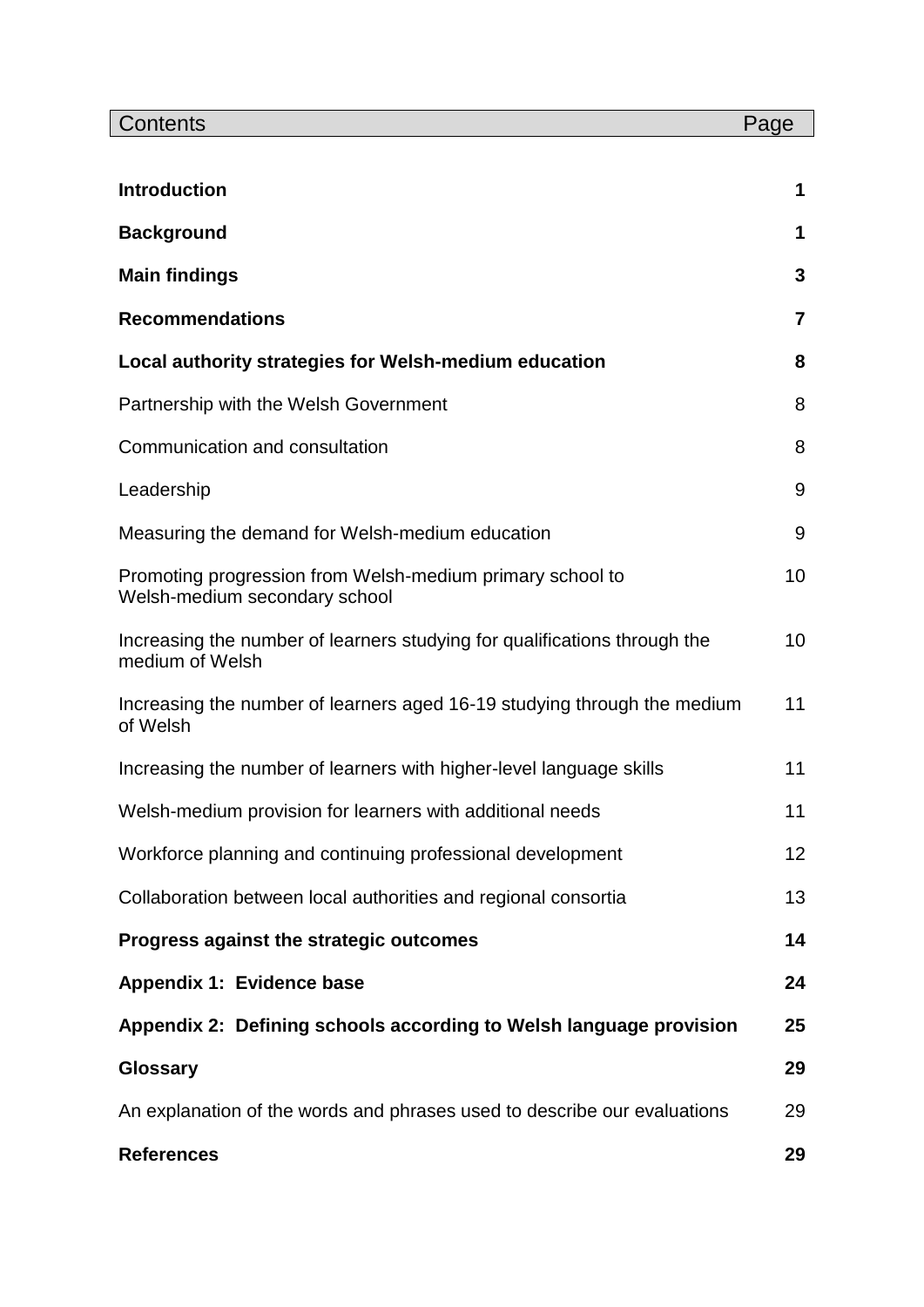| Contents                                                                                     | Page           |
|----------------------------------------------------------------------------------------------|----------------|
| <b>Introduction</b>                                                                          | 1              |
| <b>Background</b>                                                                            | 1              |
|                                                                                              | 3              |
| <b>Main findings</b>                                                                         |                |
| <b>Recommendations</b>                                                                       | $\overline{7}$ |
| Local authority strategies for Welsh-medium education                                        | 8              |
| Partnership with the Welsh Government                                                        | 8              |
| Communication and consultation                                                               | 8              |
| Leadership                                                                                   | 9              |
| Measuring the demand for Welsh-medium education                                              | 9              |
| Promoting progression from Welsh-medium primary school to<br>Welsh-medium secondary school   | 10             |
| Increasing the number of learners studying for qualifications through the<br>medium of Welsh | 10             |
| Increasing the number of learners aged 16-19 studying through the medium<br>of Welsh         | 11             |
| Increasing the number of learners with higher-level language skills                          | 11             |
| Welsh-medium provision for learners with additional needs                                    | 11             |
| Workforce planning and continuing professional development                                   | 12             |
| Collaboration between local authorities and regional consortia                               | 13             |
| Progress against the strategic outcomes                                                      | 14             |
| Appendix 1: Evidence base                                                                    | 24             |
| Appendix 2: Defining schools according to Welsh language provision                           | 25             |
| <b>Glossary</b>                                                                              | 29             |
| An explanation of the words and phrases used to describe our evaluations                     | 29             |
| <b>References</b>                                                                            | 29             |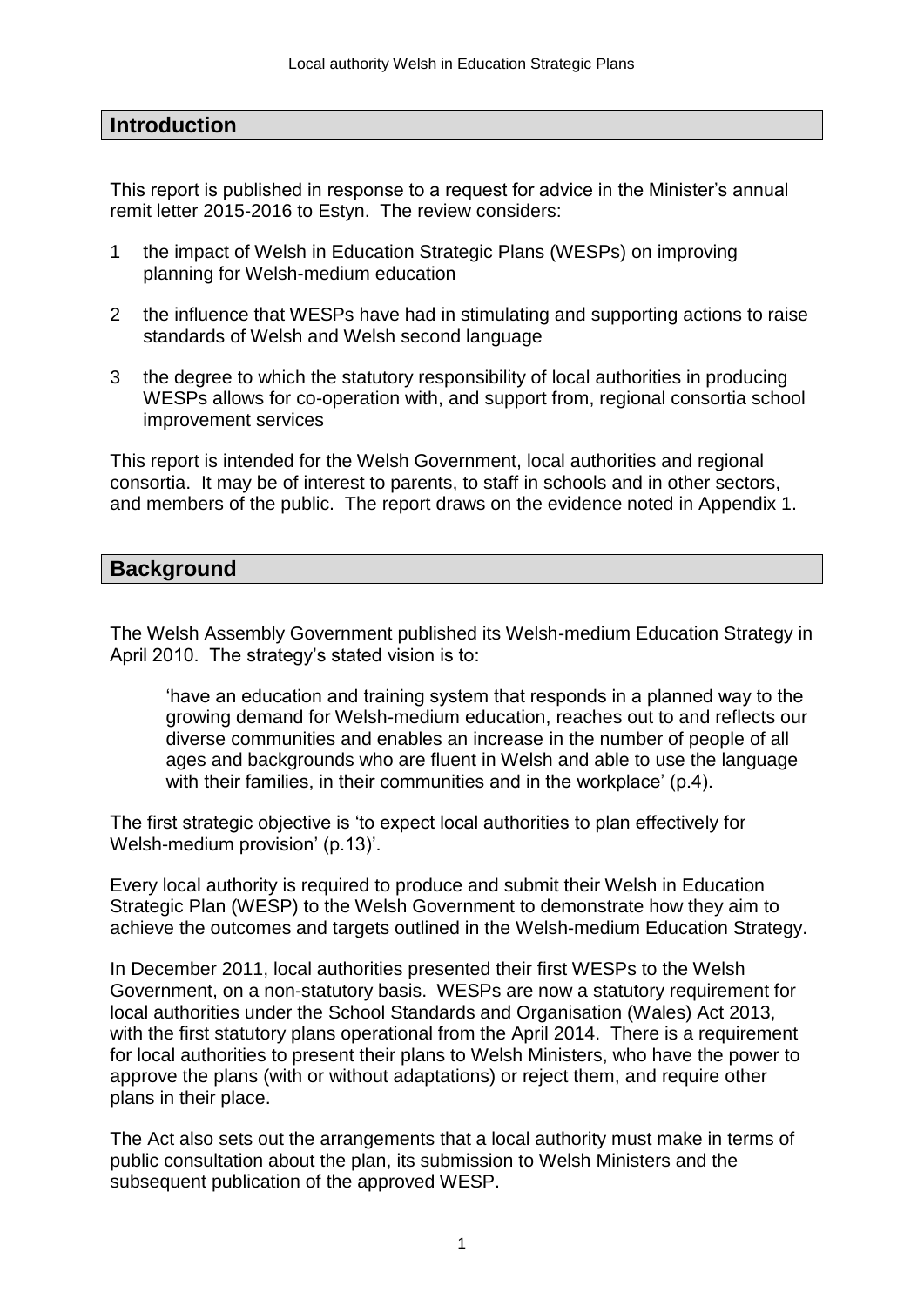# **Introduction**

This report is published in response to a request for advice in the Minister's annual remit letter 2015-2016 to Estyn. The review considers:

- 1 the impact of Welsh in Education Strategic Plans (WESPs) on improving planning for Welsh-medium education
- 2 the influence that WESPs have had in stimulating and supporting actions to raise standards of Welsh and Welsh second language
- 3 the degree to which the statutory responsibility of local authorities in producing WESPs allows for co-operation with, and support from, regional consortia school improvement services

This report is intended for the Welsh Government, local authorities and regional consortia. It may be of interest to parents, to staff in schools and in other sectors, and members of the public. The report draws on the evidence noted in Appendix 1.

# **Background**

The Welsh Assembly Government published its Welsh-medium Education Strategy in April 2010. The strategy's stated vision is to:

'have an education and training system that responds in a planned way to the growing demand for Welsh-medium education, reaches out to and reflects our diverse communities and enables an increase in the number of people of all ages and backgrounds who are fluent in Welsh and able to use the language with their families, in their communities and in the workplace' (p.4).

The first strategic objective is 'to expect local authorities to plan effectively for Welsh-medium provision' (p.13)'.

Every local authority is required to produce and submit their Welsh in Education Strategic Plan (WESP) to the Welsh Government to demonstrate how they aim to achieve the outcomes and targets outlined in the Welsh-medium Education Strategy.

In December 2011, local authorities presented their first WESPs to the Welsh Government, on a non-statutory basis. WESPs are now a statutory requirement for local authorities under the School Standards and Organisation (Wales) Act 2013, with the first statutory plans operational from the April 2014. There is a requirement for local authorities to present their plans to Welsh Ministers, who have the power to approve the plans (with or without adaptations) or reject them, and require other plans in their place.

The Act also sets out the arrangements that a local authority must make in terms of public consultation about the plan, its submission to Welsh Ministers and the subsequent publication of the approved WESP.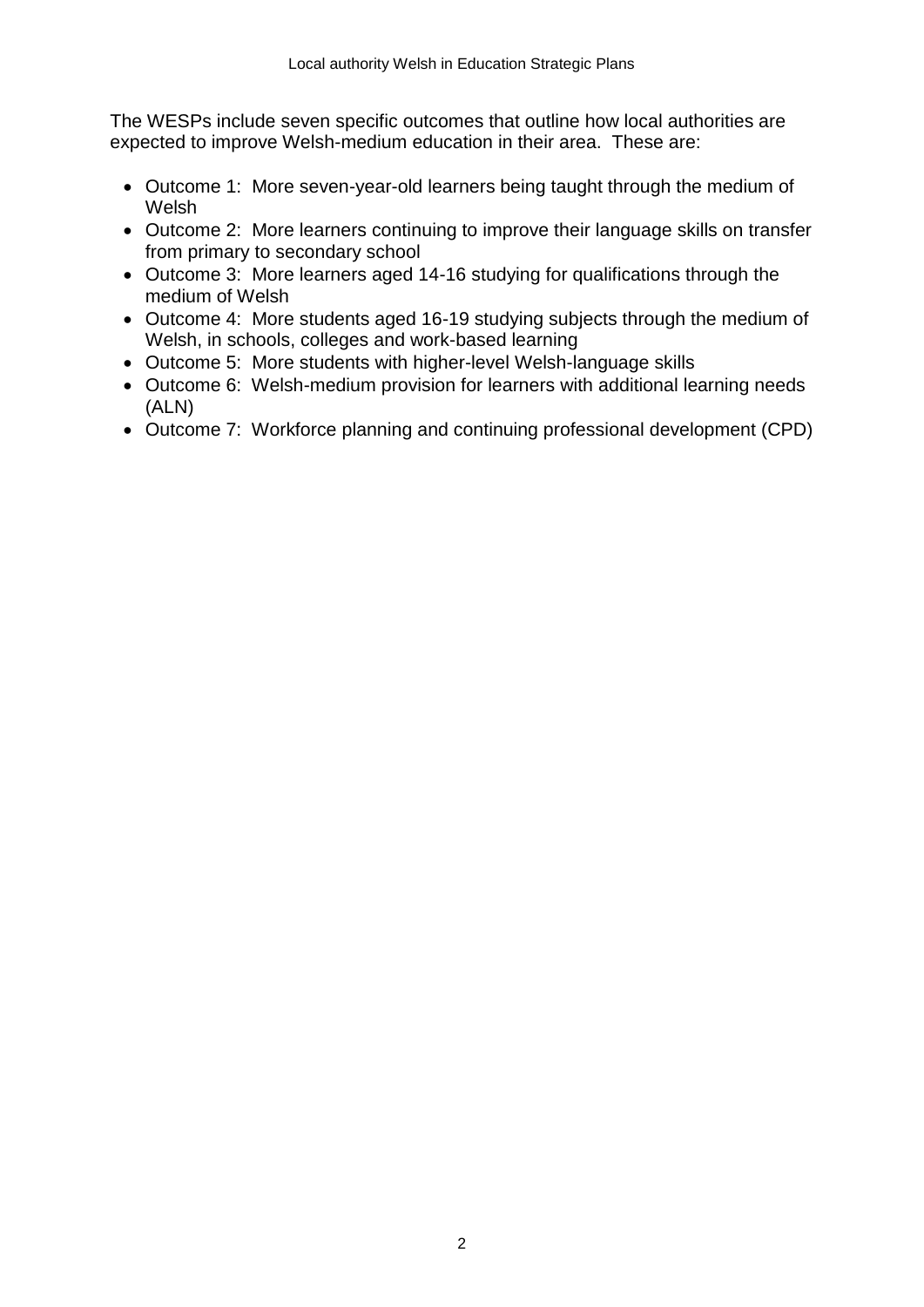The WESPs include seven specific outcomes that outline how local authorities are expected to improve Welsh-medium education in their area. These are:

- Outcome 1: More seven-year-old learners being taught through the medium of Welsh
- Outcome 2: More learners continuing to improve their language skills on transfer from primary to secondary school
- Outcome 3: More learners aged 14-16 studying for qualifications through the medium of Welsh
- Outcome 4: More students aged 16-19 studying subjects through the medium of Welsh, in schools, colleges and work-based learning
- Outcome 5: More students with higher-level Welsh-language skills
- Outcome 6: Welsh-medium provision for learners with additional learning needs (ALN)
- Outcome 7: Workforce planning and continuing professional development (CPD)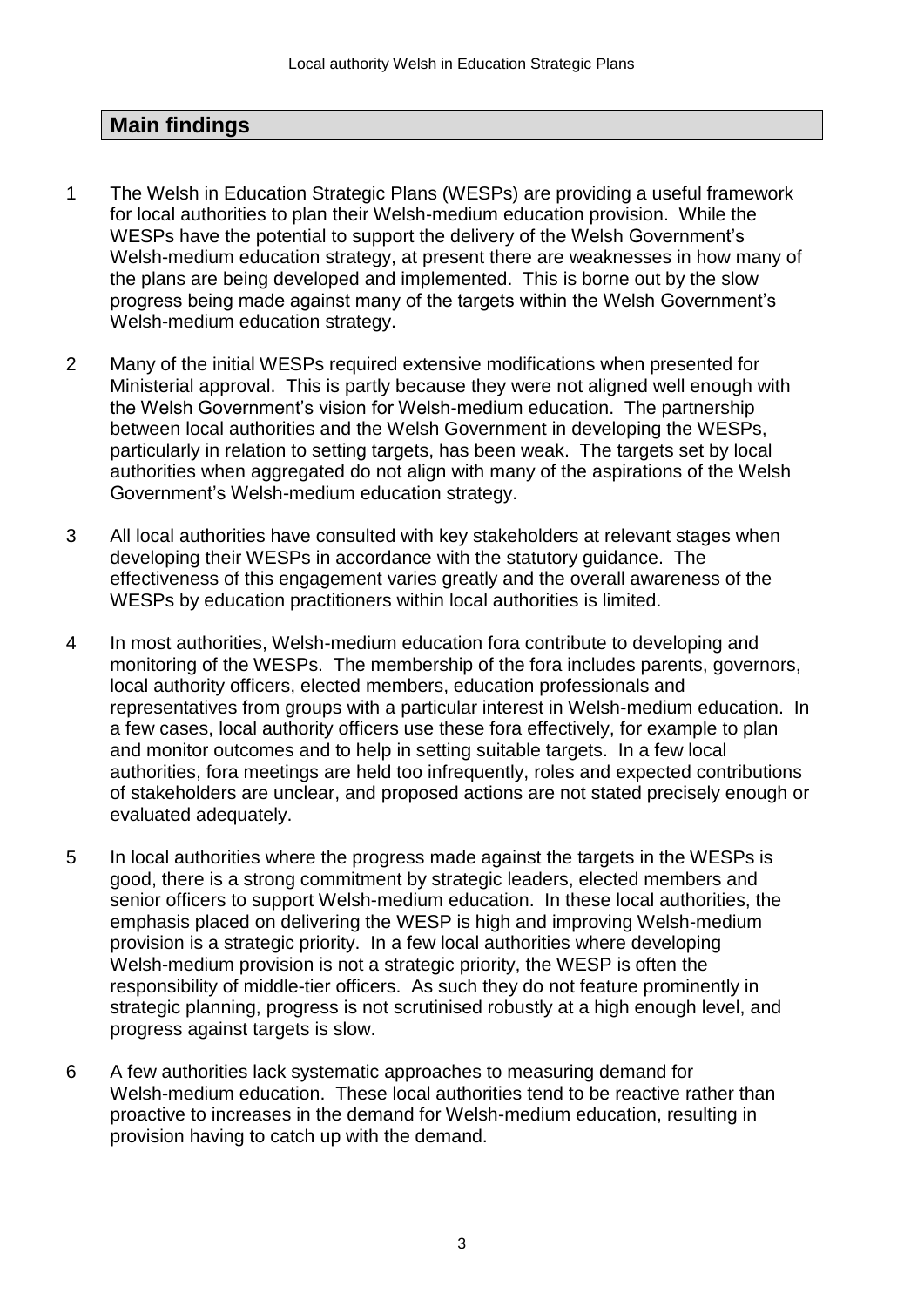# **Main findings**

- 1 The Welsh in Education Strategic Plans (WESPs) are providing a useful framework for local authorities to plan their Welsh-medium education provision. While the WESPs have the potential to support the delivery of the Welsh Government's Welsh-medium education strategy, at present there are weaknesses in how many of the plans are being developed and implemented. This is borne out by the slow progress being made against many of the targets within the Welsh Government's Welsh-medium education strategy.
- 2 Many of the initial WESPs required extensive modifications when presented for Ministerial approval. This is partly because they were not aligned well enough with the Welsh Government's vision for Welsh-medium education. The partnership between local authorities and the Welsh Government in developing the WESPs, particularly in relation to setting targets, has been weak. The targets set by local authorities when aggregated do not align with many of the aspirations of the Welsh Government's Welsh-medium education strategy.
- 3 All local authorities have consulted with key stakeholders at relevant stages when developing their WESPs in accordance with the statutory guidance. The effectiveness of this engagement varies greatly and the overall awareness of the WESPs by education practitioners within local authorities is limited.
- 4 In most authorities, Welsh-medium education fora contribute to developing and monitoring of the WESPs. The membership of the fora includes parents, governors, local authority officers, elected members, education professionals and representatives from groups with a particular interest in Welsh-medium education. In a few cases, local authority officers use these fora effectively, for example to plan and monitor outcomes and to help in setting suitable targets. In a few local authorities, fora meetings are held too infrequently, roles and expected contributions of stakeholders are unclear, and proposed actions are not stated precisely enough or evaluated adequately.
- 5 In local authorities where the progress made against the targets in the WESPs is good, there is a strong commitment by strategic leaders, elected members and senior officers to support Welsh-medium education. In these local authorities, the emphasis placed on delivering the WESP is high and improving Welsh-medium provision is a strategic priority. In a few local authorities where developing Welsh-medium provision is not a strategic priority, the WESP is often the responsibility of middle-tier officers. As such they do not feature prominently in strategic planning, progress is not scrutinised robustly at a high enough level, and progress against targets is slow.
- 6 A few authorities lack systematic approaches to measuring demand for Welsh-medium education. These local authorities tend to be reactive rather than proactive to increases in the demand for Welsh-medium education, resulting in provision having to catch up with the demand.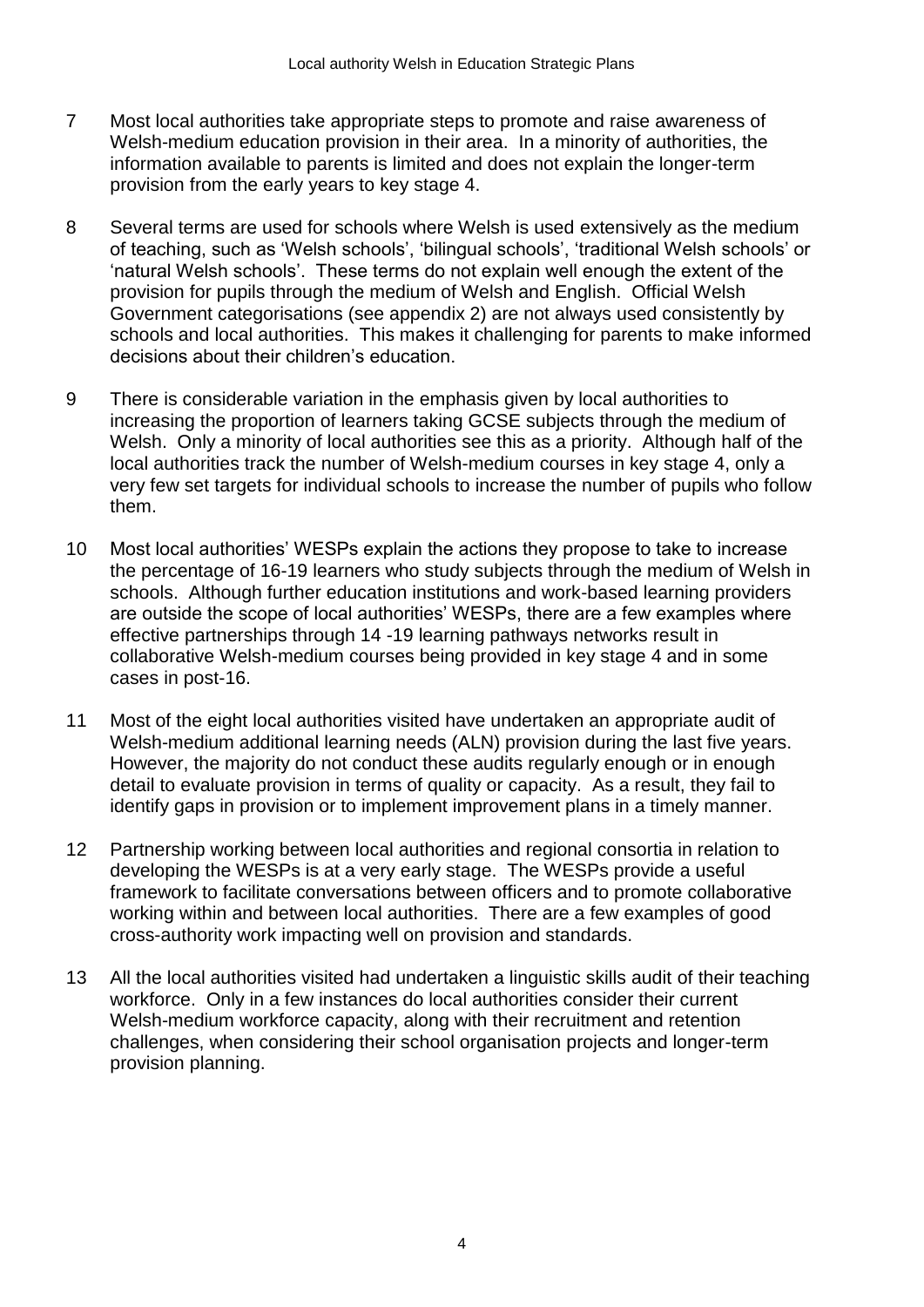- 7 Most local authorities take appropriate steps to promote and raise awareness of Welsh-medium education provision in their area. In a minority of authorities, the information available to parents is limited and does not explain the longer-term provision from the early years to key stage 4.
- 8 Several terms are used for schools where Welsh is used extensively as the medium of teaching, such as 'Welsh schools', 'bilingual schools', 'traditional Welsh schools' or 'natural Welsh schools'. These terms do not explain well enough the extent of the provision for pupils through the medium of Welsh and English. Official Welsh Government categorisations (see appendix 2) are not always used consistently by schools and local authorities. This makes it challenging for parents to make informed decisions about their children's education.
- 9 There is considerable variation in the emphasis given by local authorities to increasing the proportion of learners taking GCSE subjects through the medium of Welsh. Only a minority of local authorities see this as a priority. Although half of the local authorities track the number of Welsh-medium courses in key stage 4, only a very few set targets for individual schools to increase the number of pupils who follow them.
- 10 Most local authorities' WESPs explain the actions they propose to take to increase the percentage of 16-19 learners who study subjects through the medium of Welsh in schools. Although further education institutions and work-based learning providers are outside the scope of local authorities' WESPs, there are a few examples where effective partnerships through 14 -19 learning pathways networks result in collaborative Welsh-medium courses being provided in key stage 4 and in some cases in post-16.
- 11 Most of the eight local authorities visited have undertaken an appropriate audit of Welsh-medium additional learning needs (ALN) provision during the last five years. However, the majority do not conduct these audits regularly enough or in enough detail to evaluate provision in terms of quality or capacity. As a result, they fail to identify gaps in provision or to implement improvement plans in a timely manner.
- 12 Partnership working between local authorities and regional consortia in relation to developing the WESPs is at a very early stage. The WESPs provide a useful framework to facilitate conversations between officers and to promote collaborative working within and between local authorities. There are a few examples of good cross-authority work impacting well on provision and standards.
- 13 All the local authorities visited had undertaken a linguistic skills audit of their teaching workforce. Only in a few instances do local authorities consider their current Welsh-medium workforce capacity, along with their recruitment and retention challenges, when considering their school organisation projects and longer-term provision planning.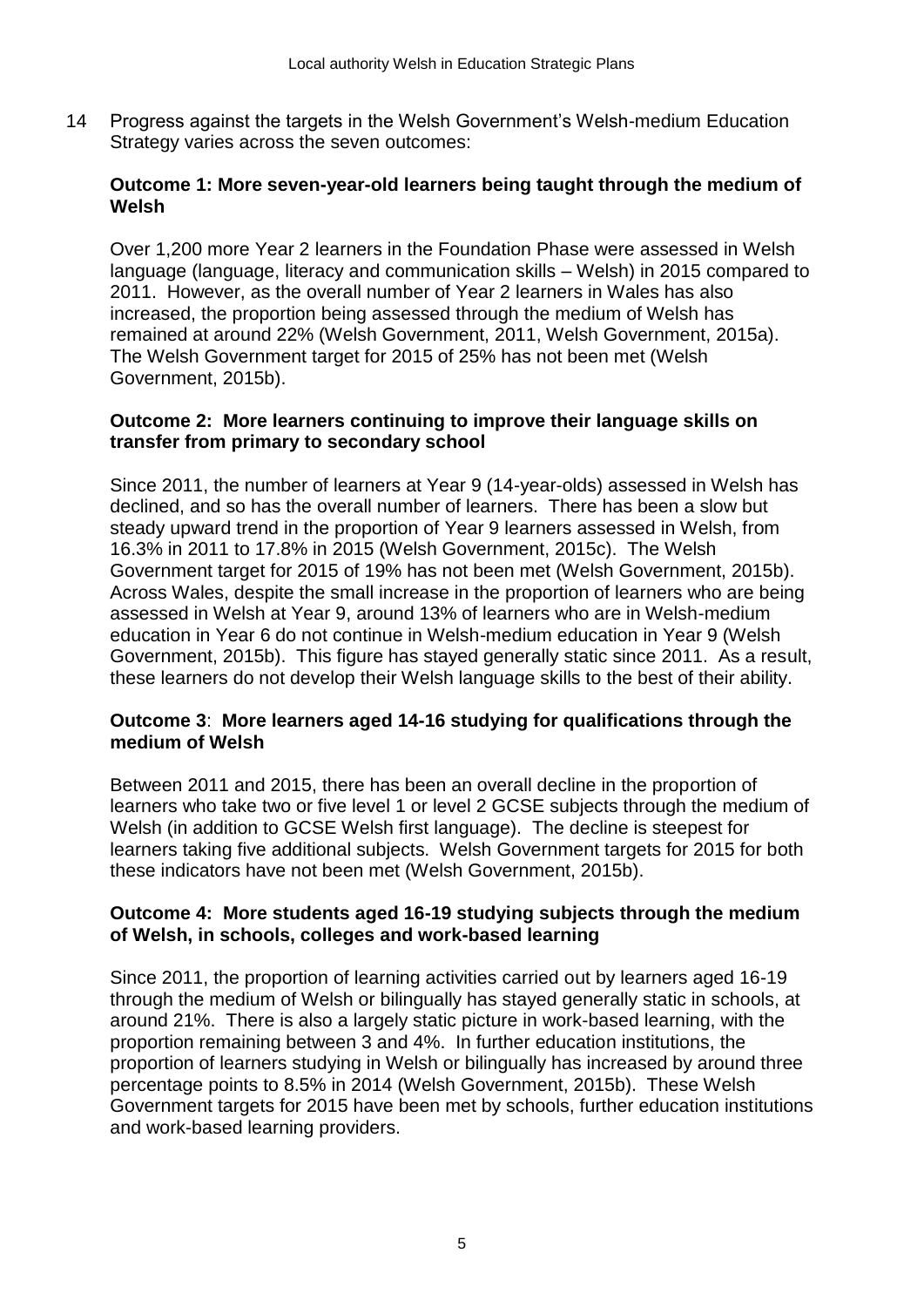14 Progress against the targets in the Welsh Government's Welsh-medium Education Strategy varies across the seven outcomes:

### **Outcome 1: More seven-year-old learners being taught through the medium of Welsh**

Over 1,200 more Year 2 learners in the Foundation Phase were assessed in Welsh language (language, literacy and communication skills – Welsh) in 2015 compared to 2011. However, as the overall number of Year 2 learners in Wales has also increased, the proportion being assessed through the medium of Welsh has remained at around 22% (Welsh Government, 2011, Welsh Government, 2015a). The Welsh Government target for 2015 of 25% has not been met (Welsh Government, 2015b).

### **Outcome 2: More learners continuing to improve their language skills on transfer from primary to secondary school**

Since 2011, the number of learners at Year 9 (14-year-olds) assessed in Welsh has declined, and so has the overall number of learners. There has been a slow but steady upward trend in the proportion of Year 9 learners assessed in Welsh, from 16.3% in 2011 to 17.8% in 2015 (Welsh Government, 2015c). The Welsh Government target for 2015 of 19% has not been met (Welsh Government, 2015b). Across Wales, despite the small increase in the proportion of learners who are being assessed in Welsh at Year 9, around 13% of learners who are in Welsh-medium education in Year 6 do not continue in Welsh-medium education in Year 9 (Welsh Government, 2015b). This figure has stayed generally static since 2011. As a result, these learners do not develop their Welsh language skills to the best of their ability.

### **Outcome 3**: **More learners aged 14-16 studying for qualifications through the medium of Welsh**

Between 2011 and 2015, there has been an overall decline in the proportion of learners who take two or five level 1 or level 2 GCSE subjects through the medium of Welsh (in addition to GCSE Welsh first language). The decline is steepest for learners taking five additional subjects. Welsh Government targets for 2015 for both these indicators have not been met (Welsh Government, 2015b).

### **Outcome 4: More students aged 16-19 studying subjects through the medium of Welsh, in schools, colleges and work-based learning**

Since 2011, the proportion of learning activities carried out by learners aged 16-19 through the medium of Welsh or bilingually has stayed generally static in schools, at around 21%. There is also a largely static picture in work-based learning, with the proportion remaining between 3 and 4%. In further education institutions, the proportion of learners studying in Welsh or bilingually has increased by around three percentage points to 8.5% in 2014 (Welsh Government, 2015b). These Welsh Government targets for 2015 have been met by schools, further education institutions and work-based learning providers.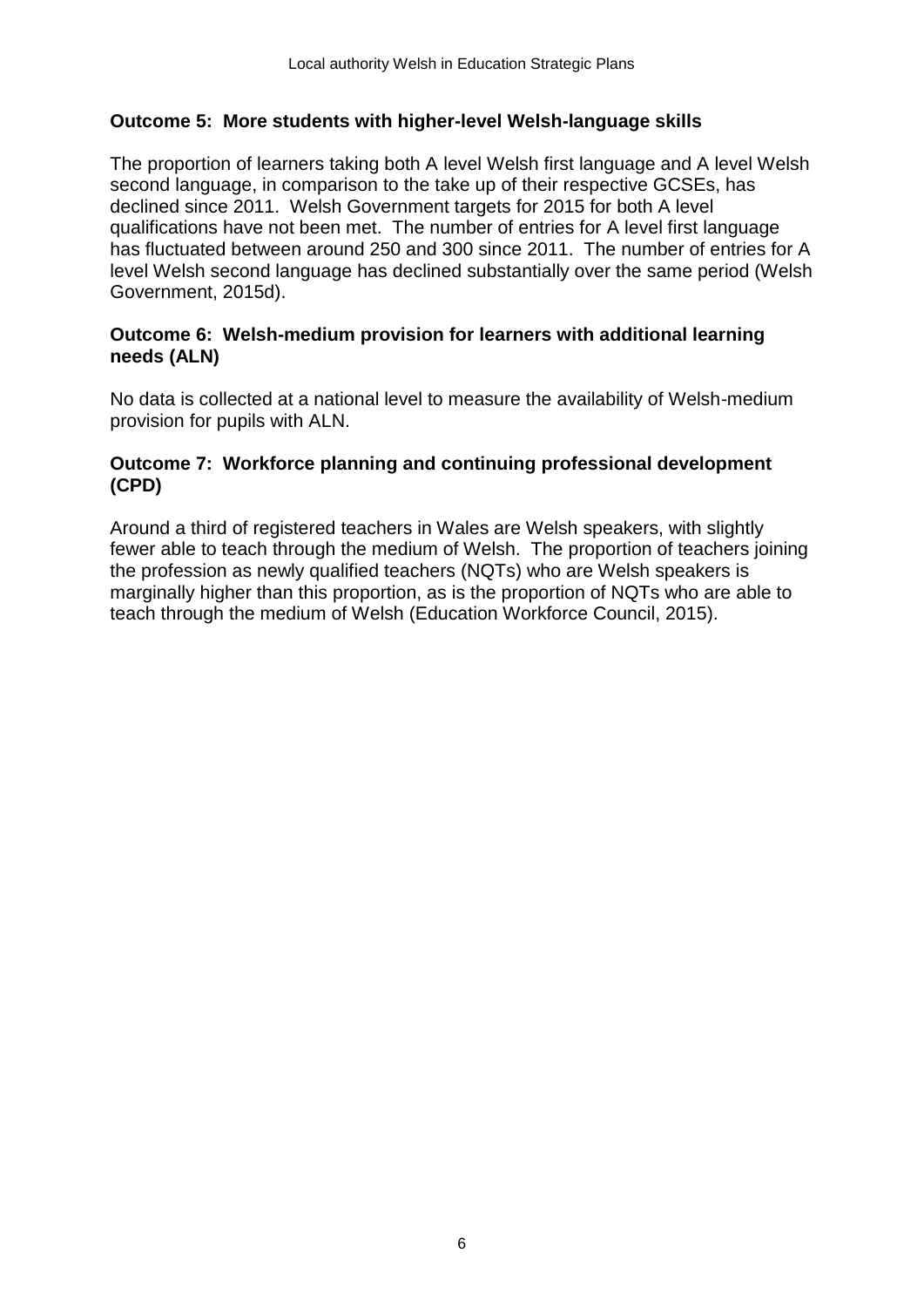### **Outcome 5: More students with higher-level Welsh-language skills**

The proportion of learners taking both A level Welsh first language and A level Welsh second language, in comparison to the take up of their respective GCSEs, has declined since 2011. Welsh Government targets for 2015 for both A level qualifications have not been met. The number of entries for A level first language has fluctuated between around 250 and 300 since 2011. The number of entries for A level Welsh second language has declined substantially over the same period (Welsh Government, 2015d).

### **Outcome 6: Welsh-medium provision for learners with additional learning needs (ALN)**

No data is collected at a national level to measure the availability of Welsh-medium provision for pupils with ALN.

### **Outcome 7: Workforce planning and continuing professional development (CPD)**

Around a third of registered teachers in Wales are Welsh speakers, with slightly fewer able to teach through the medium of Welsh. The proportion of teachers joining the profession as newly qualified teachers (NQTs) who are Welsh speakers is marginally higher than this proportion, as is the proportion of NQTs who are able to teach through the medium of Welsh (Education Workforce Council, 2015).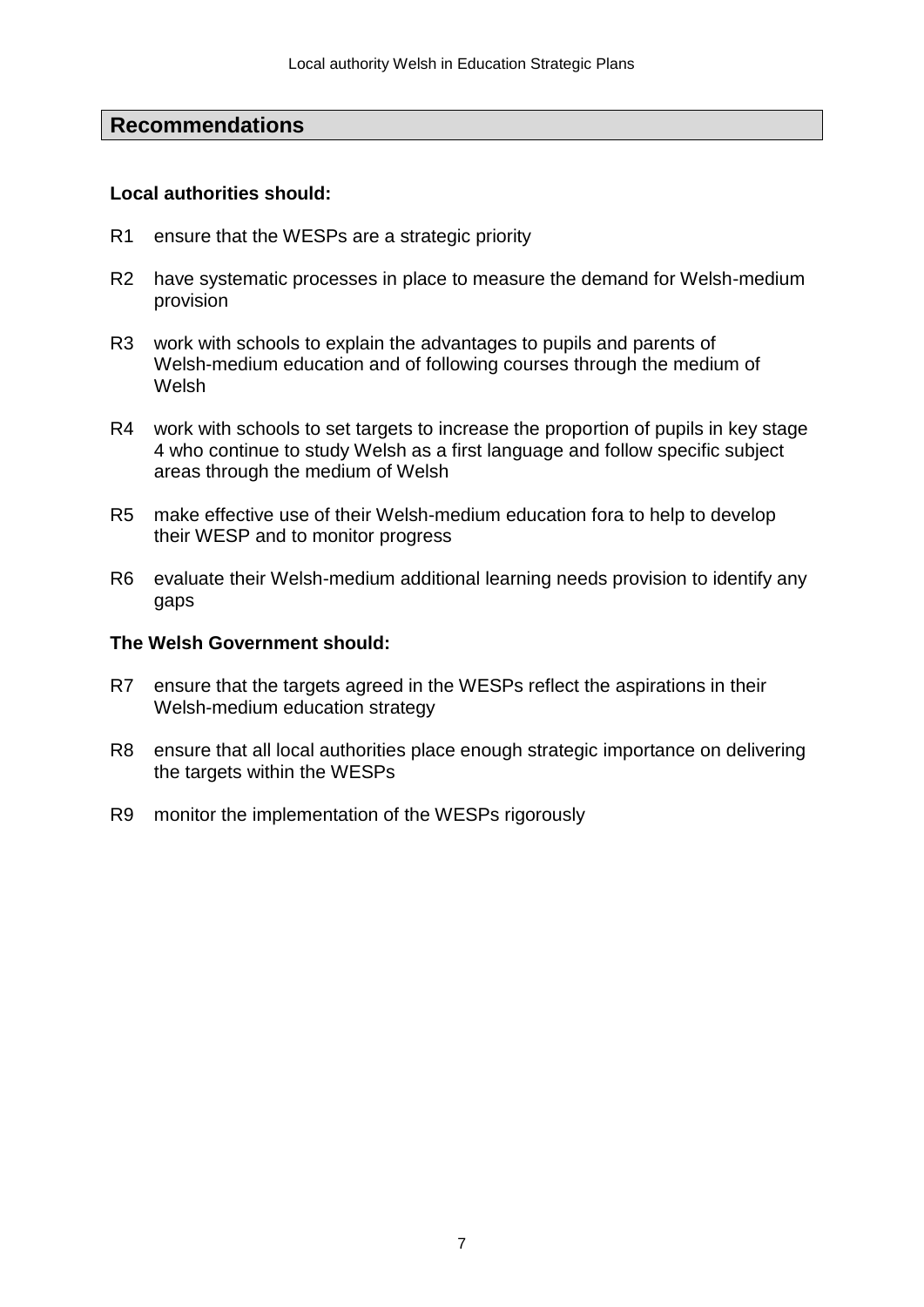# **Recommendations**

### **Local authorities should:**

- R1 ensure that the WESPs are a strategic priority
- R2 have systematic processes in place to measure the demand for Welsh-medium provision
- R3 work with schools to explain the advantages to pupils and parents of Welsh-medium education and of following courses through the medium of Welsh
- R4 work with schools to set targets to increase the proportion of pupils in key stage 4 who continue to study Welsh as a first language and follow specific subject areas through the medium of Welsh
- R5 make effective use of their Welsh-medium education fora to help to develop their WESP and to monitor progress
- R6 evaluate their Welsh-medium additional learning needs provision to identify any gaps

### **The Welsh Government should:**

- R7 ensure that the targets agreed in the WESPs reflect the aspirations in their Welsh-medium education strategy
- R8 ensure that all local authorities place enough strategic importance on delivering the targets within the WESPs
- R9 monitor the implementation of the WESPs rigorously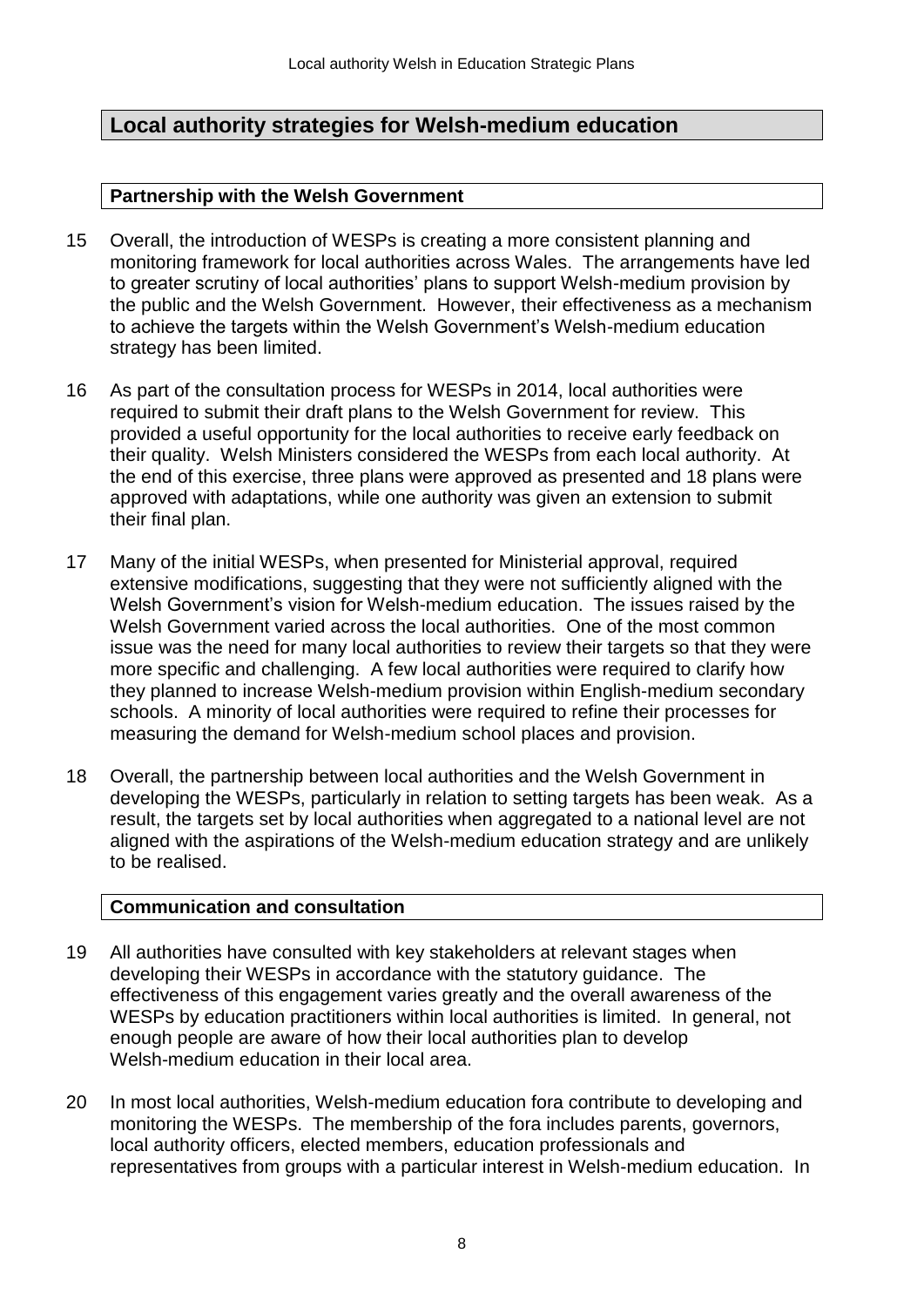# **Local authority strategies for Welsh-medium education**

### **Partnership with the Welsh Government**

- 15 Overall, the introduction of WESPs is creating a more consistent planning and monitoring framework for local authorities across Wales. The arrangements have led to greater scrutiny of local authorities' plans to support Welsh-medium provision by the public and the Welsh Government. However, their effectiveness as a mechanism to achieve the targets within the Welsh Government's Welsh-medium education strategy has been limited.
- 16 As part of the consultation process for WESPs in 2014, local authorities were required to submit their draft plans to the Welsh Government for review. This provided a useful opportunity for the local authorities to receive early feedback on their quality. Welsh Ministers considered the WESPs from each local authority. At the end of this exercise, three plans were approved as presented and 18 plans were approved with adaptations, while one authority was given an extension to submit their final plan.
- 17 Many of the initial WESPs, when presented for Ministerial approval, required extensive modifications, suggesting that they were not sufficiently aligned with the Welsh Government's vision for Welsh-medium education. The issues raised by the Welsh Government varied across the local authorities. One of the most common issue was the need for many local authorities to review their targets so that they were more specific and challenging. A few local authorities were required to clarify how they planned to increase Welsh-medium provision within English-medium secondary schools. A minority of local authorities were required to refine their processes for measuring the demand for Welsh-medium school places and provision.
- 18 Overall, the partnership between local authorities and the Welsh Government in developing the WESPs, particularly in relation to setting targets has been weak. As a result, the targets set by local authorities when aggregated to a national level are not aligned with the aspirations of the Welsh-medium education strategy and are unlikely to be realised.

### **Communication and consultation**

- 19 All authorities have consulted with key stakeholders at relevant stages when developing their WESPs in accordance with the statutory guidance. The effectiveness of this engagement varies greatly and the overall awareness of the WESPs by education practitioners within local authorities is limited. In general, not enough people are aware of how their local authorities plan to develop Welsh-medium education in their local area.
- 20 In most local authorities, Welsh-medium education fora contribute to developing and monitoring the WESPs. The membership of the fora includes parents, governors, local authority officers, elected members, education professionals and representatives from groups with a particular interest in Welsh-medium education. In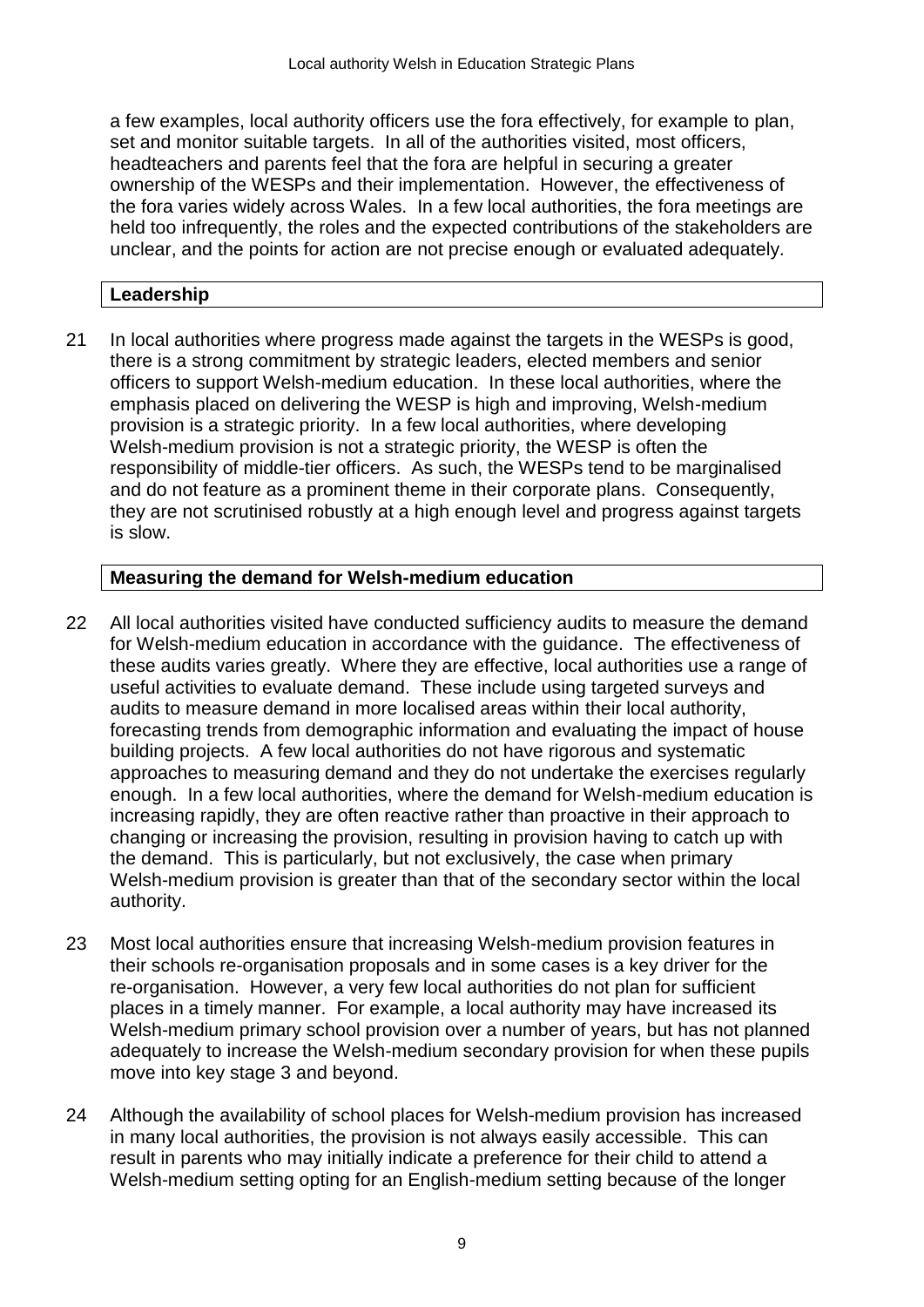a few examples, local authority officers use the fora effectively, for example to plan, set and monitor suitable targets. In all of the authorities visited, most officers, headteachers and parents feel that the fora are helpful in securing a greater ownership of the WESPs and their implementation. However, the effectiveness of the fora varies widely across Wales. In a few local authorities, the fora meetings are held too infrequently, the roles and the expected contributions of the stakeholders are unclear, and the points for action are not precise enough or evaluated adequately.

# **Leadership**

21 In local authorities where progress made against the targets in the WESPs is good, there is a strong commitment by strategic leaders, elected members and senior officers to support Welsh-medium education. In these local authorities, where the emphasis placed on delivering the WESP is high and improving, Welsh-medium provision is a strategic priority. In a few local authorities, where developing Welsh-medium provision is not a strategic priority, the WESP is often the responsibility of middle-tier officers. As such, the WESPs tend to be marginalised and do not feature as a prominent theme in their corporate plans. Consequently, they are not scrutinised robustly at a high enough level and progress against targets is slow.

# **Measuring the demand for Welsh-medium education**

- 22 All local authorities visited have conducted sufficiency audits to measure the demand for Welsh-medium education in accordance with the guidance. The effectiveness of these audits varies greatly. Where they are effective, local authorities use a range of useful activities to evaluate demand. These include using targeted surveys and audits to measure demand in more localised areas within their local authority, forecasting trends from demographic information and evaluating the impact of house building projects. A few local authorities do not have rigorous and systematic approaches to measuring demand and they do not undertake the exercises regularly enough. In a few local authorities, where the demand for Welsh-medium education is increasing rapidly, they are often reactive rather than proactive in their approach to changing or increasing the provision, resulting in provision having to catch up with the demand. This is particularly, but not exclusively, the case when primary Welsh-medium provision is greater than that of the secondary sector within the local authority.
- 23 Most local authorities ensure that increasing Welsh-medium provision features in their schools re-organisation proposals and in some cases is a key driver for the re-organisation. However, a very few local authorities do not plan for sufficient places in a timely manner. For example, a local authority may have increased its Welsh-medium primary school provision over a number of years, but has not planned adequately to increase the Welsh-medium secondary provision for when these pupils move into key stage 3 and beyond.
- 24 Although the availability of school places for Welsh-medium provision has increased in many local authorities, the provision is not always easily accessible. This can result in parents who may initially indicate a preference for their child to attend a Welsh-medium setting opting for an English-medium setting because of the longer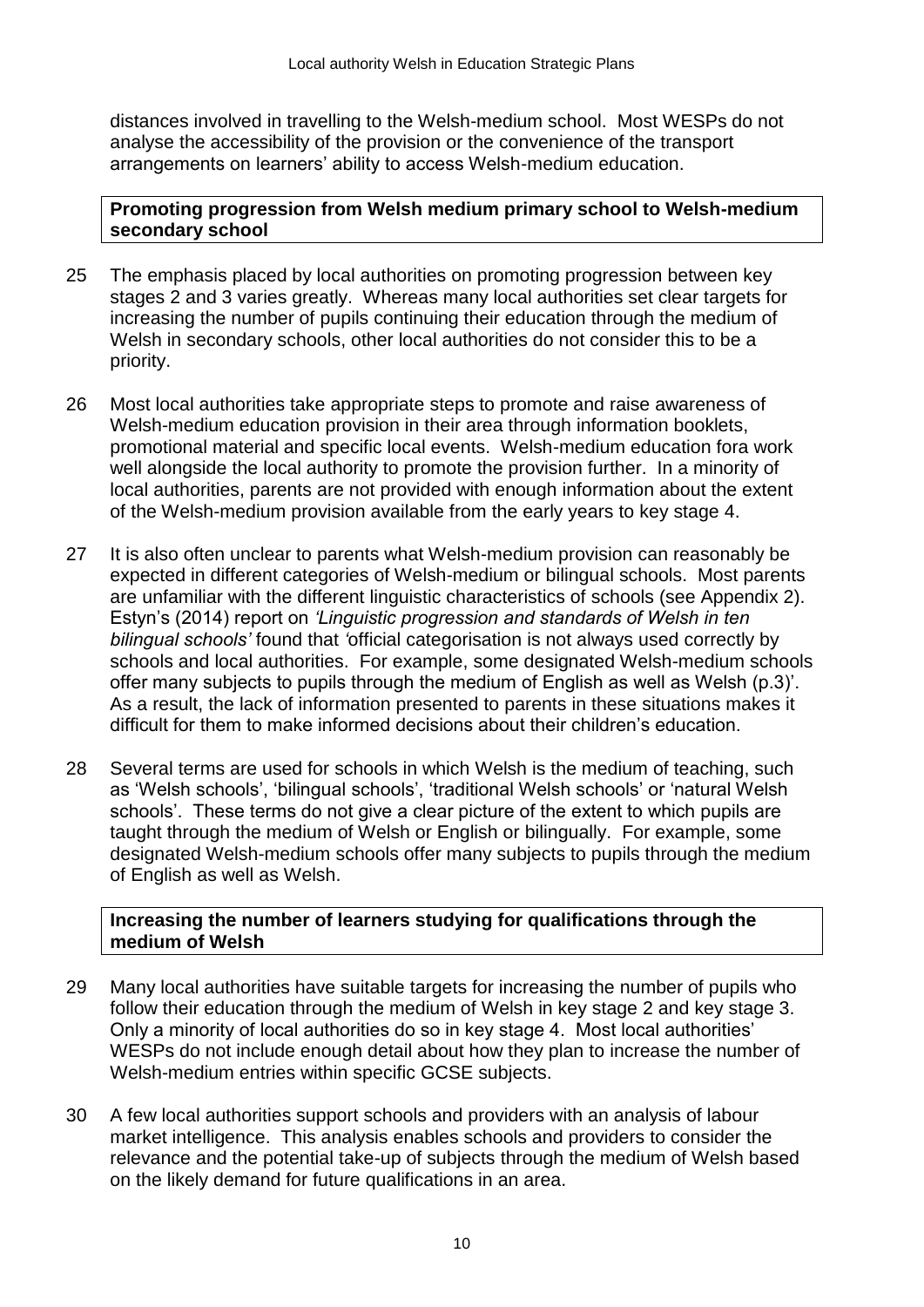distances involved in travelling to the Welsh-medium school. Most WESPs do not analyse the accessibility of the provision or the convenience of the transport arrangements on learners' ability to access Welsh-medium education.

### **Promoting progression from Welsh medium primary school to Welsh-medium secondary school**

- 25 The emphasis placed by local authorities on promoting progression between key stages 2 and 3 varies greatly. Whereas many local authorities set clear targets for increasing the number of pupils continuing their education through the medium of Welsh in secondary schools, other local authorities do not consider this to be a priority.
- 26 Most local authorities take appropriate steps to promote and raise awareness of Welsh-medium education provision in their area through information booklets, promotional material and specific local events. Welsh-medium education fora work well alongside the local authority to promote the provision further. In a minority of local authorities, parents are not provided with enough information about the extent of the Welsh-medium provision available from the early years to key stage 4.
- 27 It is also often unclear to parents what Welsh-medium provision can reasonably be expected in different categories of Welsh-medium or bilingual schools. Most parents are unfamiliar with the different linguistic characteristics of schools (see Appendix 2). Estyn's (2014) report on *'Linguistic progression and standards of Welsh in ten bilingual schools'* found that *'*official categorisation is not always used correctly by schools and local authorities. For example, some designated Welsh-medium schools offer many subjects to pupils through the medium of English as well as Welsh (p.3)'. As a result, the lack of information presented to parents in these situations makes it difficult for them to make informed decisions about their children's education.
- 28 Several terms are used for schools in which Welsh is the medium of teaching, such as 'Welsh schools', 'bilingual schools', 'traditional Welsh schools' or 'natural Welsh schools'. These terms do not give a clear picture of the extent to which pupils are taught through the medium of Welsh or English or bilingually. For example, some designated Welsh-medium schools offer many subjects to pupils through the medium of English as well as Welsh.

# **Increasing the number of learners studying for qualifications through the medium of Welsh**

- 29 Many local authorities have suitable targets for increasing the number of pupils who follow their education through the medium of Welsh in key stage 2 and key stage 3. Only a minority of local authorities do so in key stage 4. Most local authorities' WESPs do not include enough detail about how they plan to increase the number of Welsh-medium entries within specific GCSE subjects.
- 30 A few local authorities support schools and providers with an analysis of labour market intelligence. This analysis enables schools and providers to consider the relevance and the potential take-up of subjects through the medium of Welsh based on the likely demand for future qualifications in an area.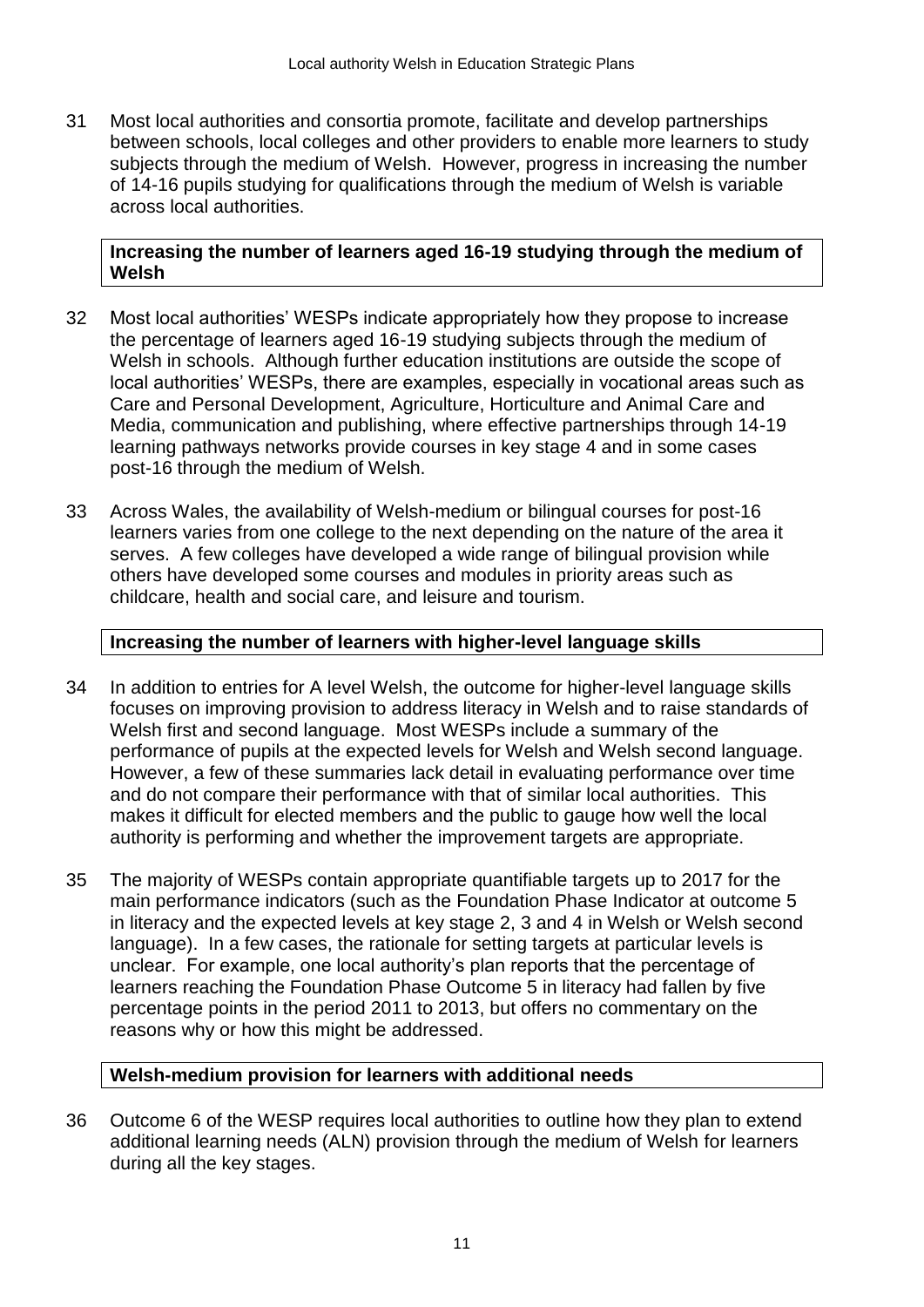31 Most local authorities and consortia promote, facilitate and develop partnerships between schools, local colleges and other providers to enable more learners to study subjects through the medium of Welsh. However, progress in increasing the number of 14-16 pupils studying for qualifications through the medium of Welsh is variable across local authorities.

### **Increasing the number of learners aged 16-19 studying through the medium of Welsh**

- 32 Most local authorities' WESPs indicate appropriately how they propose to increase the percentage of learners aged 16-19 studying subjects through the medium of Welsh in schools. Although further education institutions are outside the scope of local authorities' WESPs, there are examples, especially in vocational areas such as Care and Personal Development, Agriculture, Horticulture and Animal Care and Media, communication and publishing, where effective partnerships through 14-19 learning pathways networks provide courses in key stage 4 and in some cases post-16 through the medium of Welsh.
- 33 Across Wales, the availability of Welsh-medium or bilingual courses for post-16 learners varies from one college to the next depending on the nature of the area it serves. A few colleges have developed a wide range of bilingual provision while others have developed some courses and modules in priority areas such as childcare, health and social care, and leisure and tourism.

### **Increasing the number of learners with higher-level language skills**

- 34 In addition to entries for A level Welsh, the outcome for higher-level language skills focuses on improving provision to address literacy in Welsh and to raise standards of Welsh first and second language. Most WESPs include a summary of the performance of pupils at the expected levels for Welsh and Welsh second language. However, a few of these summaries lack detail in evaluating performance over time and do not compare their performance with that of similar local authorities. This makes it difficult for elected members and the public to gauge how well the local authority is performing and whether the improvement targets are appropriate.
- 35 The majority of WESPs contain appropriate quantifiable targets up to 2017 for the main performance indicators (such as the Foundation Phase Indicator at outcome 5 in literacy and the expected levels at key stage 2, 3 and 4 in Welsh or Welsh second language). In a few cases, the rationale for setting targets at particular levels is unclear. For example, one local authority's plan reports that the percentage of learners reaching the Foundation Phase Outcome 5 in literacy had fallen by five percentage points in the period 2011 to 2013, but offers no commentary on the reasons why or how this might be addressed.

# **Welsh-medium provision for learners with additional needs**

36 Outcome 6 of the WESP requires local authorities to outline how they plan to extend additional learning needs (ALN) provision through the medium of Welsh for learners during all the key stages.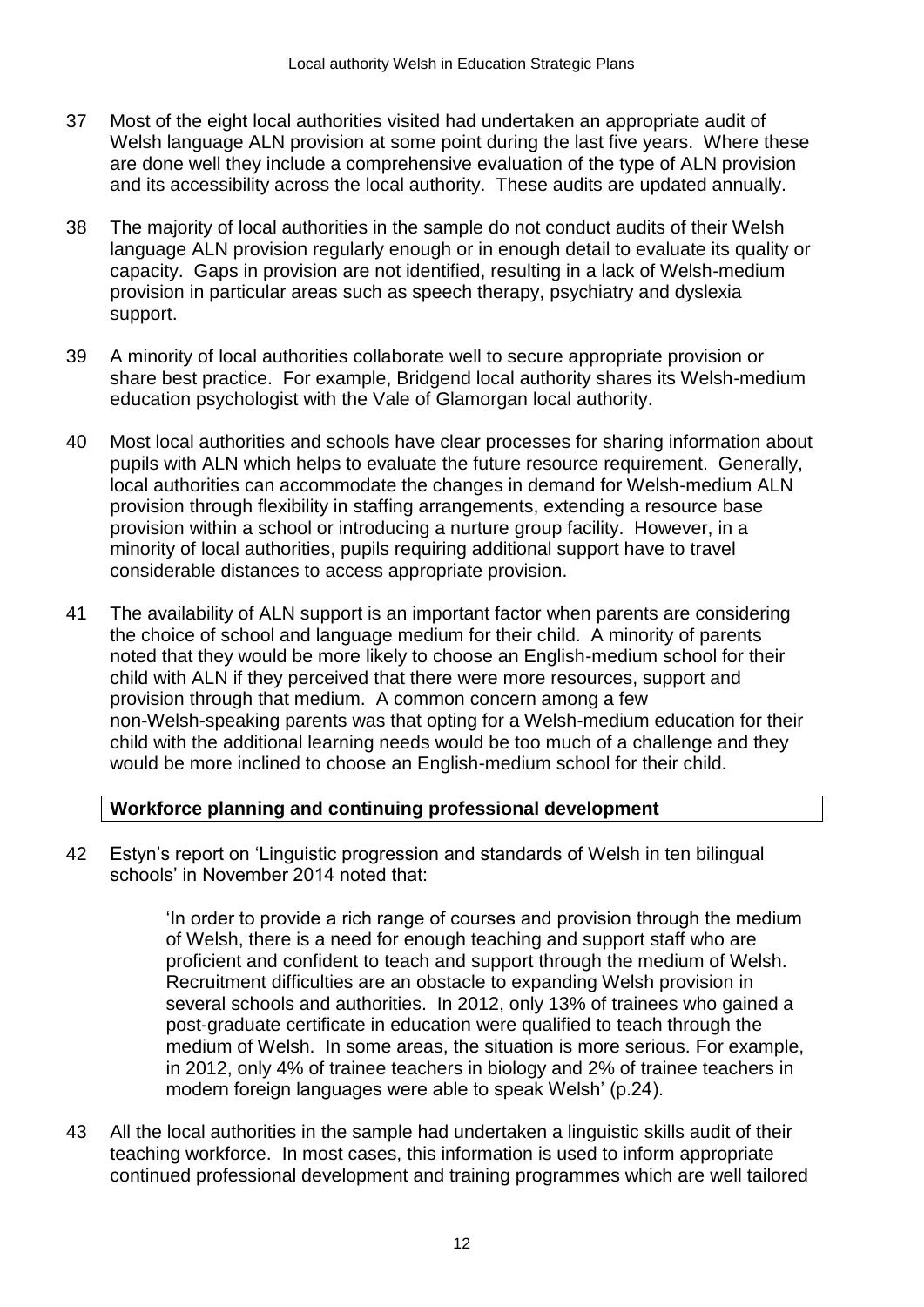- 37 Most of the eight local authorities visited had undertaken an appropriate audit of Welsh language ALN provision at some point during the last five years. Where these are done well they include a comprehensive evaluation of the type of ALN provision and its accessibility across the local authority. These audits are updated annually.
- 38 The majority of local authorities in the sample do not conduct audits of their Welsh language ALN provision regularly enough or in enough detail to evaluate its quality or capacity. Gaps in provision are not identified, resulting in a lack of Welsh-medium provision in particular areas such as speech therapy, psychiatry and dyslexia support.
- 39 A minority of local authorities collaborate well to secure appropriate provision or share best practice. For example, Bridgend local authority shares its Welsh-medium education psychologist with the Vale of Glamorgan local authority.
- 40 Most local authorities and schools have clear processes for sharing information about pupils with ALN which helps to evaluate the future resource requirement. Generally, local authorities can accommodate the changes in demand for Welsh-medium ALN provision through flexibility in staffing arrangements, extending a resource base provision within a school or introducing a nurture group facility. However, in a minority of local authorities, pupils requiring additional support have to travel considerable distances to access appropriate provision.
- 41 The availability of ALN support is an important factor when parents are considering the choice of school and language medium for their child. A minority of parents noted that they would be more likely to choose an English-medium school for their child with ALN if they perceived that there were more resources, support and provision through that medium. A common concern among a few non-Welsh-speaking parents was that opting for a Welsh-medium education for their child with the additional learning needs would be too much of a challenge and they would be more inclined to choose an English-medium school for their child.

# **Workforce planning and continuing professional development**

42 Estyn's report on 'Linguistic progression and standards of Welsh in ten bilingual schools' in November 2014 noted that:

> 'In order to provide a rich range of courses and provision through the medium of Welsh, there is a need for enough teaching and support staff who are proficient and confident to teach and support through the medium of Welsh. Recruitment difficulties are an obstacle to expanding Welsh provision in several schools and authorities. In 2012, only 13% of trainees who gained a post-graduate certificate in education were qualified to teach through the medium of Welsh. In some areas, the situation is more serious. For example, in 2012, only 4% of trainee teachers in biology and 2% of trainee teachers in modern foreign languages were able to speak Welsh' (p.24).

43 All the local authorities in the sample had undertaken a linguistic skills audit of their teaching workforce. In most cases, this information is used to inform appropriate continued professional development and training programmes which are well tailored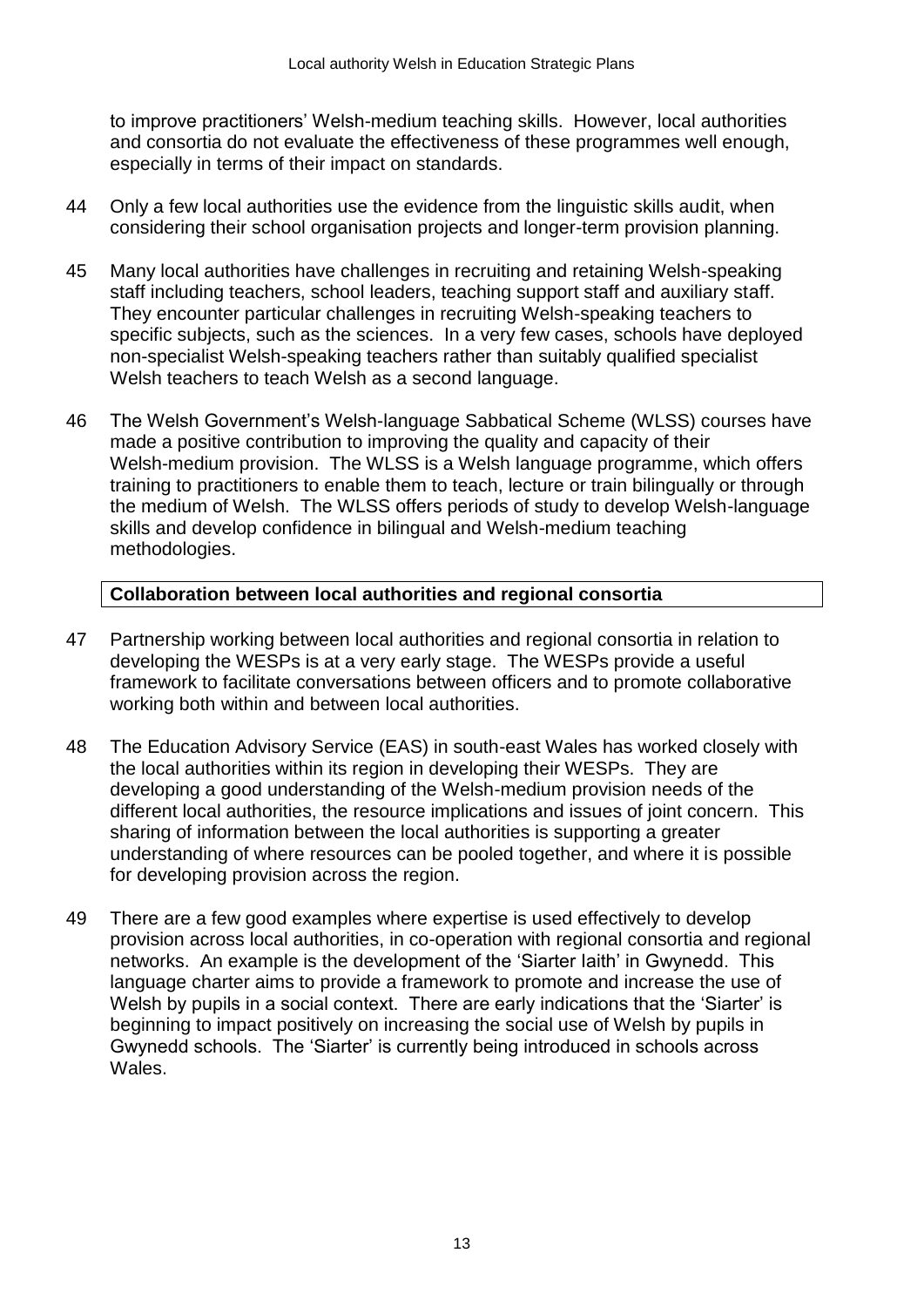to improve practitioners' Welsh-medium teaching skills. However, local authorities and consortia do not evaluate the effectiveness of these programmes well enough, especially in terms of their impact on standards.

- 44 Only a few local authorities use the evidence from the linguistic skills audit, when considering their school organisation projects and longer-term provision planning.
- 45 Many local authorities have challenges in recruiting and retaining Welsh-speaking staff including teachers, school leaders, teaching support staff and auxiliary staff. They encounter particular challenges in recruiting Welsh-speaking teachers to specific subjects, such as the sciences. In a very few cases, schools have deployed non-specialist Welsh-speaking teachers rather than suitably qualified specialist Welsh teachers to teach Welsh as a second language.
- 46 The Welsh Government's Welsh-language Sabbatical Scheme (WLSS) courses have made a positive contribution to improving the quality and capacity of their Welsh-medium provision. The WLSS is a Welsh language programme, which offers training to practitioners to enable them to teach, lecture or train bilingually or through the medium of Welsh. The WLSS offers periods of study to develop Welsh-language skills and develop confidence in bilingual and Welsh-medium teaching methodologies.

# **Collaboration between local authorities and regional consortia**

- 47 Partnership working between local authorities and regional consortia in relation to developing the WESPs is at a very early stage. The WESPs provide a useful framework to facilitate conversations between officers and to promote collaborative working both within and between local authorities.
- 48 The Education Advisory Service (EAS) in south-east Wales has worked closely with the local authorities within its region in developing their WESPs. They are developing a good understanding of the Welsh-medium provision needs of the different local authorities, the resource implications and issues of joint concern. This sharing of information between the local authorities is supporting a greater understanding of where resources can be pooled together, and where it is possible for developing provision across the region.
- 49 There are a few good examples where expertise is used effectively to develop provision across local authorities, in co-operation with regional consortia and regional networks. An example is the development of the 'Siarter Iaith' in Gwynedd. This language charter aims to provide a framework to promote and increase the use of Welsh by pupils in a social context. There are early indications that the 'Siarter' is beginning to impact positively on increasing the social use of Welsh by pupils in Gwynedd schools. The 'Siarter' is currently being introduced in schools across Wales.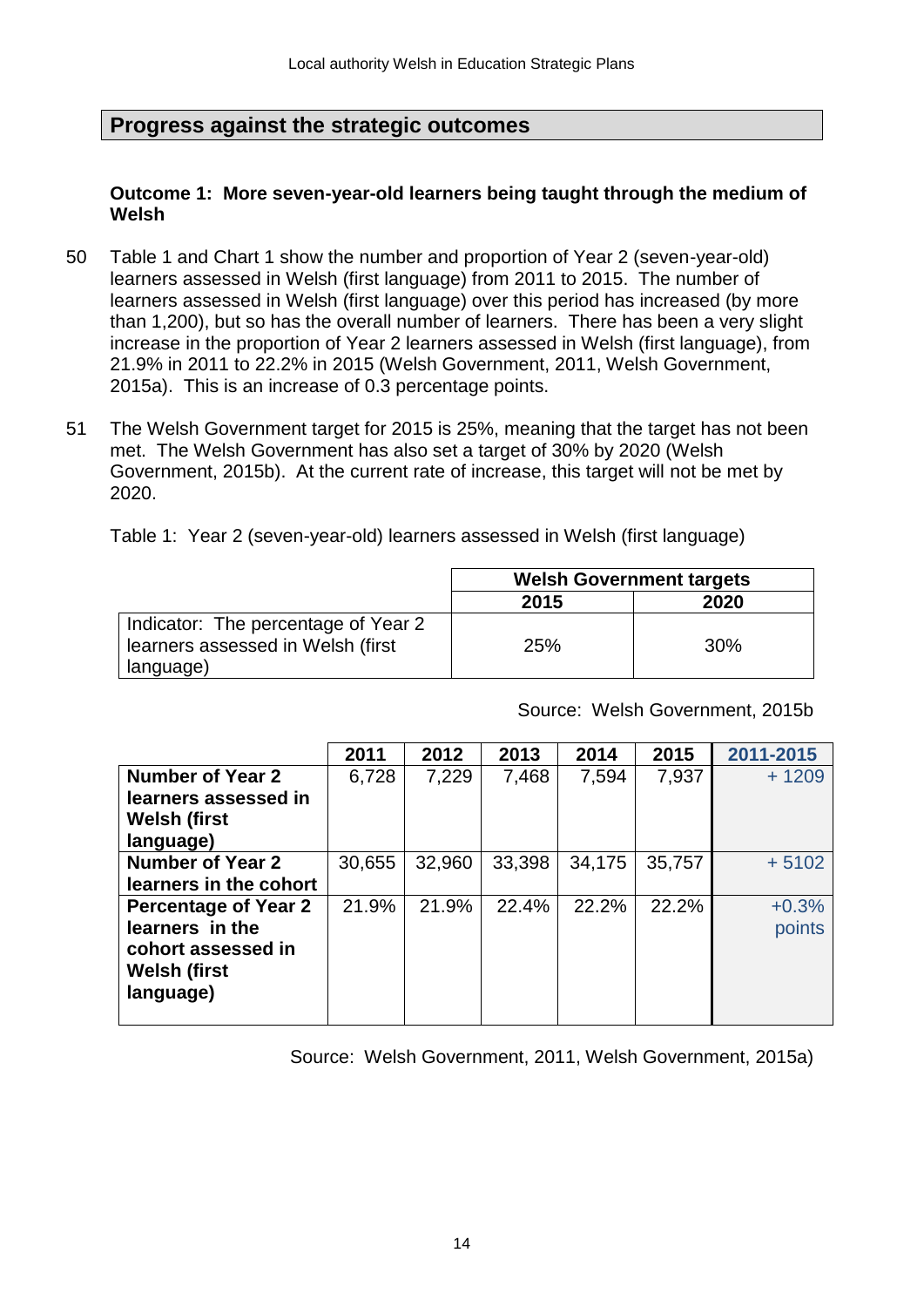# **Progress against the strategic outcomes**

### **Outcome 1: More seven-year-old learners being taught through the medium of Welsh**

- 50 Table 1 and Chart 1 show the number and proportion of Year 2 (seven-year-old) learners assessed in Welsh (first language) from 2011 to 2015. The number of learners assessed in Welsh (first language) over this period has increased (by more than 1,200), but so has the overall number of learners. There has been a very slight increase in the proportion of Year 2 learners assessed in Welsh (first language), from 21.9% in 2011 to 22.2% in 2015 (Welsh Government, 2011, Welsh Government, 2015a). This is an increase of 0.3 percentage points.
- 51 The Welsh Government target for 2015 is 25%, meaning that the target has not been met. The Welsh Government has also set a target of 30% by 2020 (Welsh Government, 2015b). At the current rate of increase, this target will not be met by 2020.

Table 1: Year 2 (seven-year-old) learners assessed in Welsh (first language)

|                                     | <b>Welsh Government targets</b> |     |  |
|-------------------------------------|---------------------------------|-----|--|
|                                     | 2020<br>2015                    |     |  |
| Indicator: The percentage of Year 2 |                                 |     |  |
| learners assessed in Welsh (first   | <b>25%</b>                      | 30% |  |
| language)                           |                                 |     |  |

Source: Welsh Government, 2015b

|                             | 2011   | 2012   | 2013   | 2014   | 2015   | 2011-2015 |
|-----------------------------|--------|--------|--------|--------|--------|-----------|
| <b>Number of Year 2</b>     | 6,728  | 7,229  | 7,468  | 7,594  | 7,937  | $+1209$   |
| learners assessed in        |        |        |        |        |        |           |
| <b>Welsh (first</b>         |        |        |        |        |        |           |
| language)                   |        |        |        |        |        |           |
| <b>Number of Year 2</b>     | 30,655 | 32,960 | 33,398 | 34,175 | 35,757 | $+5102$   |
| learners in the cohort      |        |        |        |        |        |           |
| <b>Percentage of Year 2</b> | 21.9%  | 21.9%  | 22.4%  | 22.2%  | 22.2%  | $+0.3%$   |
| learners in the             |        |        |        |        |        | points    |
| cohort assessed in          |        |        |        |        |        |           |
| <b>Welsh (first</b>         |        |        |        |        |        |           |
| language)                   |        |        |        |        |        |           |
|                             |        |        |        |        |        |           |

Source: Welsh Government, 2011, Welsh Government, 2015a)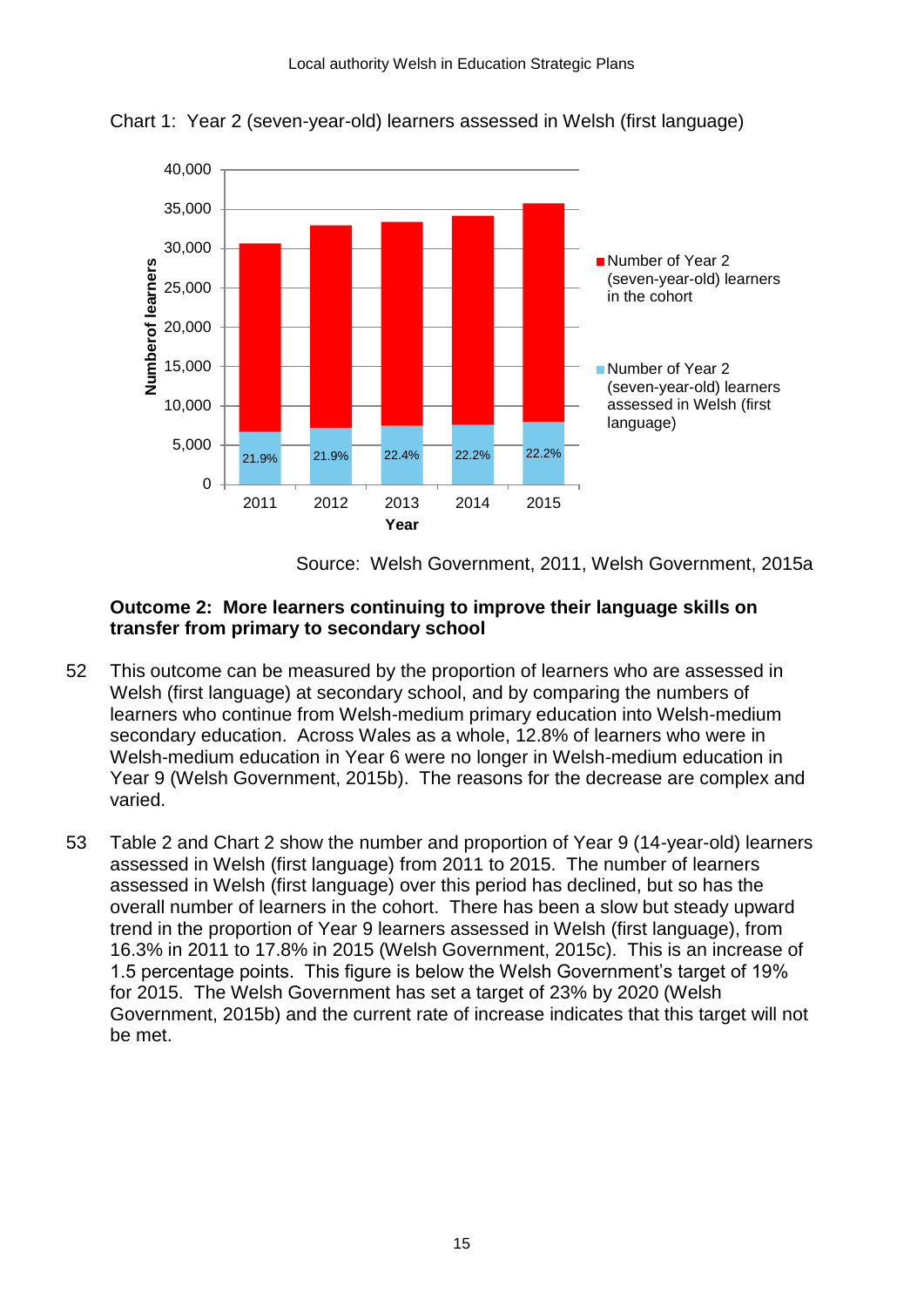

Chart 1: Year 2 (seven-year-old) learners assessed in Welsh (first language)

Source: Welsh Government, 2011, Welsh Government, 2015a

### **Outcome 2: More learners continuing to improve their language skills on transfer from primary to secondary school**

- 52 This outcome can be measured by the proportion of learners who are assessed in Welsh (first language) at secondary school, and by comparing the numbers of learners who continue from Welsh-medium primary education into Welsh-medium secondary education. Across Wales as a whole, 12.8% of learners who were in Welsh-medium education in Year 6 were no longer in Welsh-medium education in Year 9 (Welsh Government, 2015b). The reasons for the decrease are complex and varied.
- 53 Table 2 and Chart 2 show the number and proportion of Year 9 (14-year-old) learners assessed in Welsh (first language) from 2011 to 2015. The number of learners assessed in Welsh (first language) over this period has declined, but so has the overall number of learners in the cohort. There has been a slow but steady upward trend in the proportion of Year 9 learners assessed in Welsh (first language), from 16.3% in 2011 to 17.8% in 2015 (Welsh Government, 2015c). This is an increase of 1.5 percentage points. This figure is below the Welsh Government's target of 19% for 2015. The Welsh Government has set a target of 23% by 2020 (Welsh Government, 2015b) and the current rate of increase indicates that this target will not be met.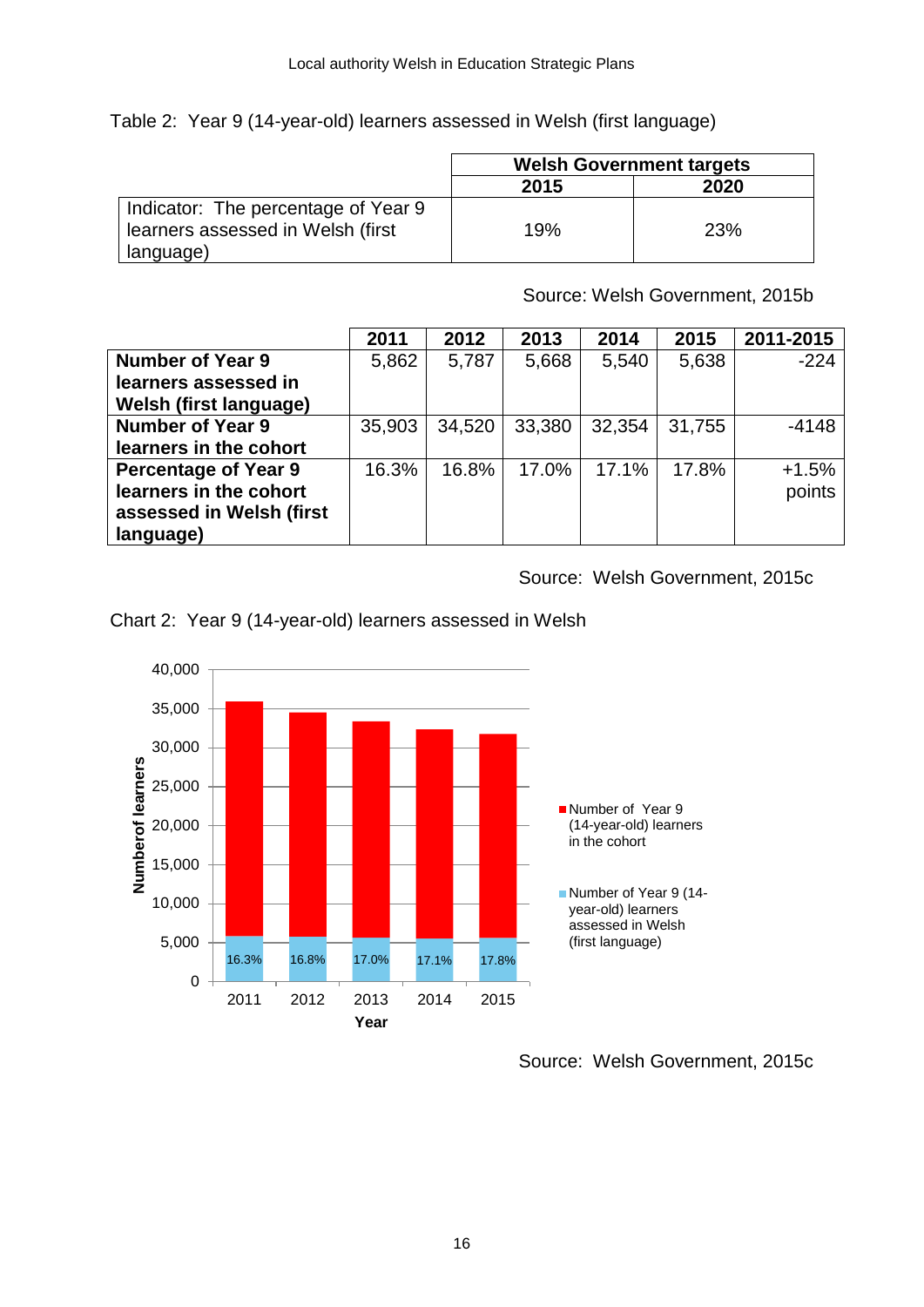Table 2: Year 9 (14-year-old) learners assessed in Welsh (first language)

|                                     | <b>Welsh Government targets</b> |     |  |
|-------------------------------------|---------------------------------|-----|--|
|                                     | 2020<br>2015                    |     |  |
| Indicator: The percentage of Year 9 |                                 |     |  |
| learners assessed in Welsh (first   | 19%                             | 23% |  |
| language)                           |                                 |     |  |

Source: Welsh Government, 2015b

|                               | 2011   | 2012   | 2013   | 2014   | 2015   | 2011-2015 |
|-------------------------------|--------|--------|--------|--------|--------|-----------|
| <b>Number of Year 9</b>       | 5,862  | 5,787  | 5,668  | 5,540  | 5,638  | $-224$    |
| learners assessed in          |        |        |        |        |        |           |
| <b>Welsh (first language)</b> |        |        |        |        |        |           |
| <b>Number of Year 9</b>       | 35,903 | 34,520 | 33,380 | 32,354 | 31,755 | $-4148$   |
| learners in the cohort        |        |        |        |        |        |           |
| <b>Percentage of Year 9</b>   | 16.3%  | 16.8%  | 17.0%  | 17.1%  | 17.8%  | $+1.5%$   |
| learners in the cohort        |        |        |        |        |        | points    |
| assessed in Welsh (first      |        |        |        |        |        |           |
| language)                     |        |        |        |        |        |           |

Source: Welsh Government, 2015c



Chart 2: Year 9 (14-year-old) learners assessed in Welsh

Source: Welsh Government, 2015c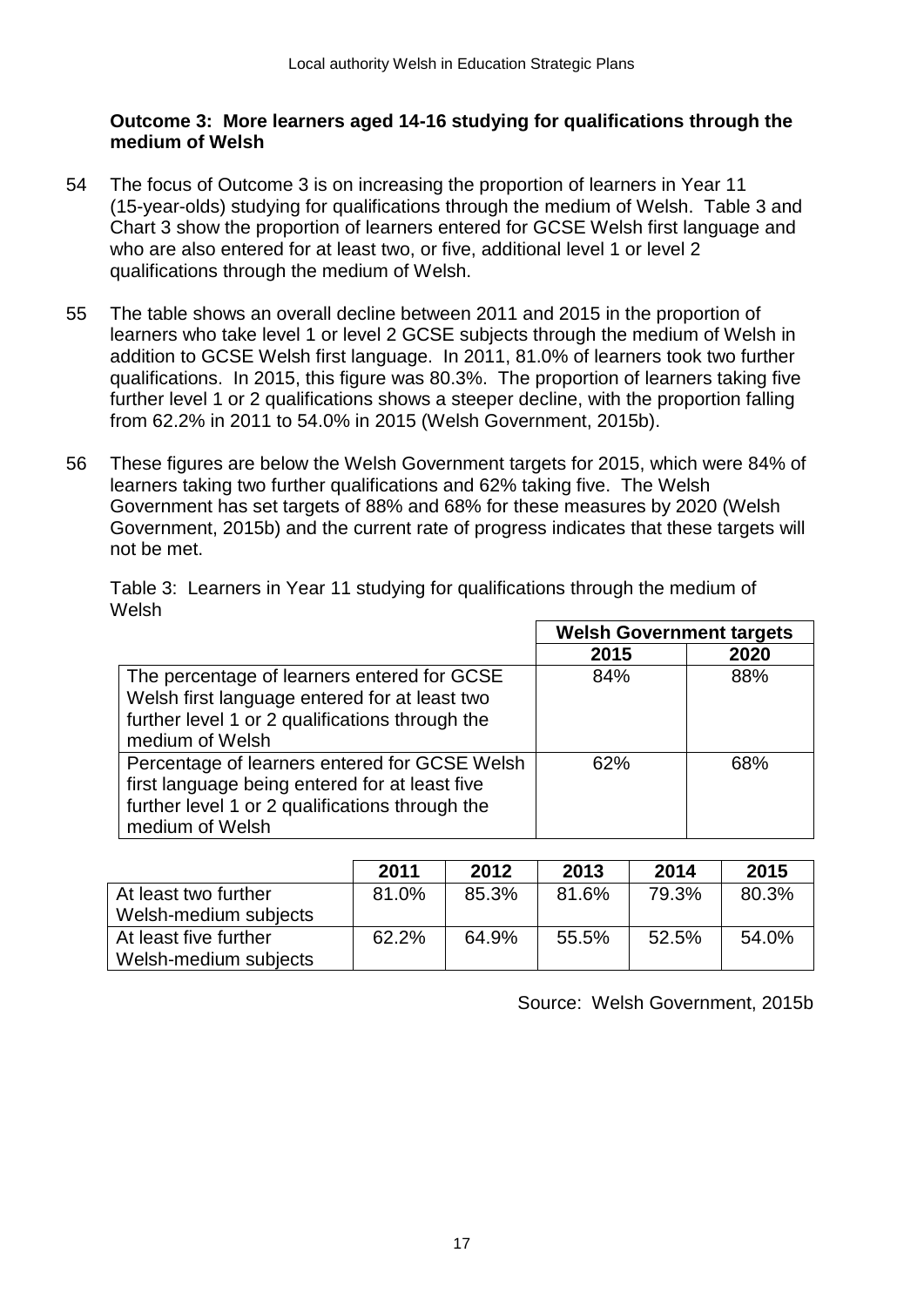### **Outcome 3: More learners aged 14-16 studying for qualifications through the medium of Welsh**

- 54 The focus of Outcome 3 is on increasing the proportion of learners in Year 11 (15-year-olds) studying for qualifications through the medium of Welsh. Table 3 and Chart 3 show the proportion of learners entered for GCSE Welsh first language and who are also entered for at least two, or five, additional level 1 or level 2 qualifications through the medium of Welsh.
- 55 The table shows an overall decline between 2011 and 2015 in the proportion of learners who take level 1 or level 2 GCSE subjects through the medium of Welsh in addition to GCSE Welsh first language. In 2011, 81.0% of learners took two further qualifications. In 2015, this figure was 80.3%. The proportion of learners taking five further level 1 or 2 qualifications shows a steeper decline, with the proportion falling from 62.2% in 2011 to 54.0% in 2015 (Welsh Government, 2015b).
- 56 These figures are below the Welsh Government targets for 2015, which were 84% of learners taking two further qualifications and 62% taking five. The Welsh Government has set targets of 88% and 68% for these measures by 2020 (Welsh Government, 2015b) and the current rate of progress indicates that these targets will not be met.

|                                                                                                                                                                       | <b>Welsh Government targets</b> |      |
|-----------------------------------------------------------------------------------------------------------------------------------------------------------------------|---------------------------------|------|
|                                                                                                                                                                       | 2015                            | 2020 |
| The percentage of learners entered for GCSE<br>Welsh first language entered for at least two<br>further level 1 or 2 qualifications through the<br>medium of Welsh    | 84%                             | 88%  |
| Percentage of learners entered for GCSE Welsh<br>first language being entered for at least five<br>further level 1 or 2 qualifications through the<br>medium of Welsh | 62%                             | 68%  |

Table 3: Learners in Year 11 studying for qualifications through the medium of Welsh

|                       | 2011  | 2012  | 2013  | 2014  | 2015  |
|-----------------------|-------|-------|-------|-------|-------|
| At least two further  | 81.0% | 85.3% | 81.6% | 79.3% | 80.3% |
| Welsh-medium subjects |       |       |       |       |       |
| At least five further | 62.2% | 64.9% | 55.5% | 52.5% | 54.0% |
| Welsh-medium subjects |       |       |       |       |       |

Source: Welsh Government, 2015b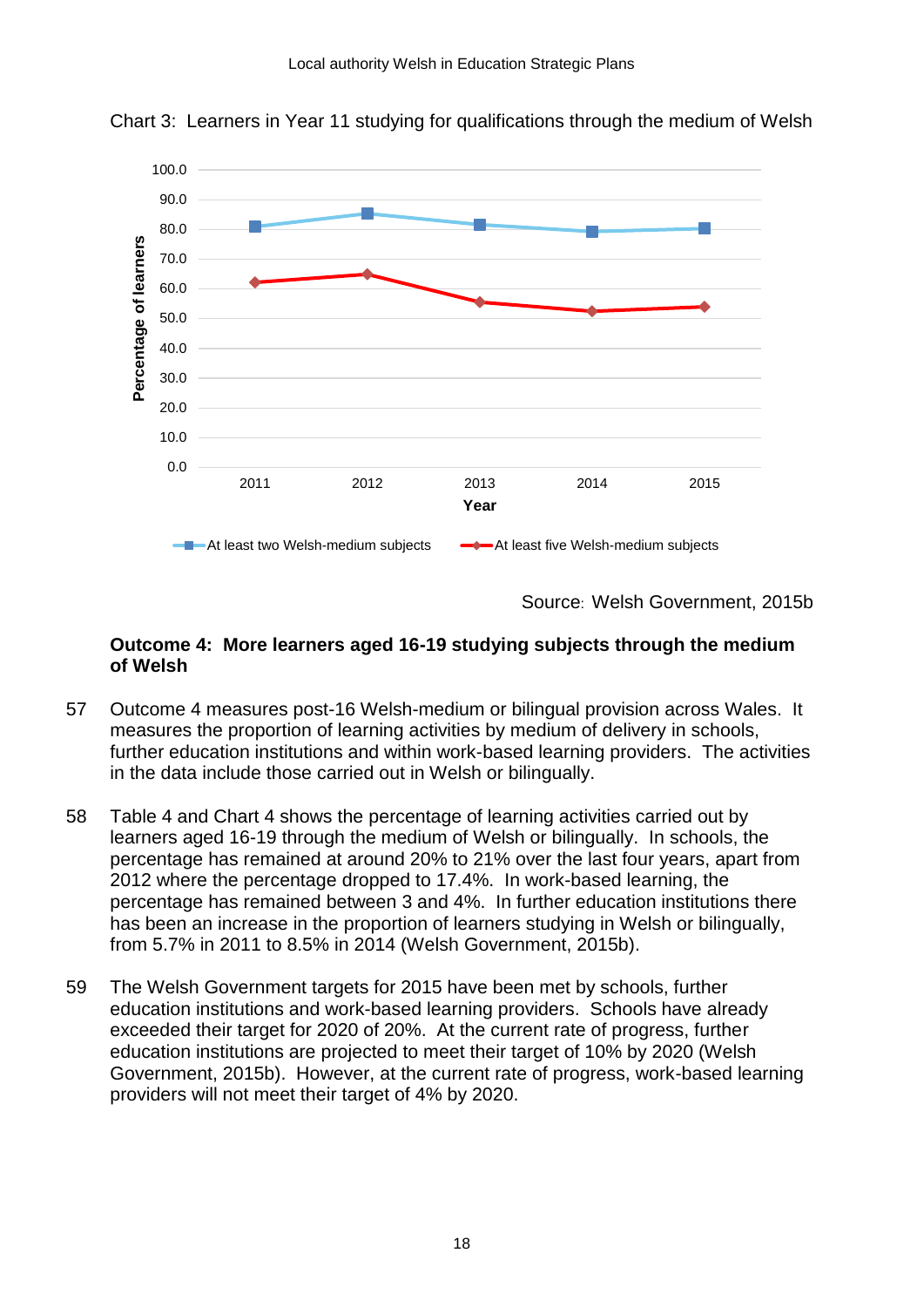

Chart 3: Learners in Year 11 studying for qualifications through the medium of Welsh

Source: Welsh Government, 2015b

#### **Outcome 4: More learners aged 16-19 studying subjects through the medium of Welsh**

- 57 Outcome 4 measures post-16 Welsh-medium or bilingual provision across Wales. It measures the proportion of learning activities by medium of delivery in schools, further education institutions and within work-based learning providers. The activities in the data include those carried out in Welsh or bilingually.
- 58 Table 4 and Chart 4 shows the percentage of learning activities carried out by learners aged 16-19 through the medium of Welsh or bilingually. In schools, the percentage has remained at around 20% to 21% over the last four years, apart from 2012 where the percentage dropped to 17.4%. In work-based learning, the percentage has remained between 3 and 4%. In further education institutions there has been an increase in the proportion of learners studying in Welsh or bilingually, from 5.7% in 2011 to 8.5% in 2014 (Welsh Government, 2015b).
- 59 The Welsh Government targets for 2015 have been met by schools, further education institutions and work-based learning providers. Schools have already exceeded their target for 2020 of 20%. At the current rate of progress, further education institutions are projected to meet their target of 10% by 2020 (Welsh Government, 2015b). However, at the current rate of progress, work-based learning providers will not meet their target of 4% by 2020.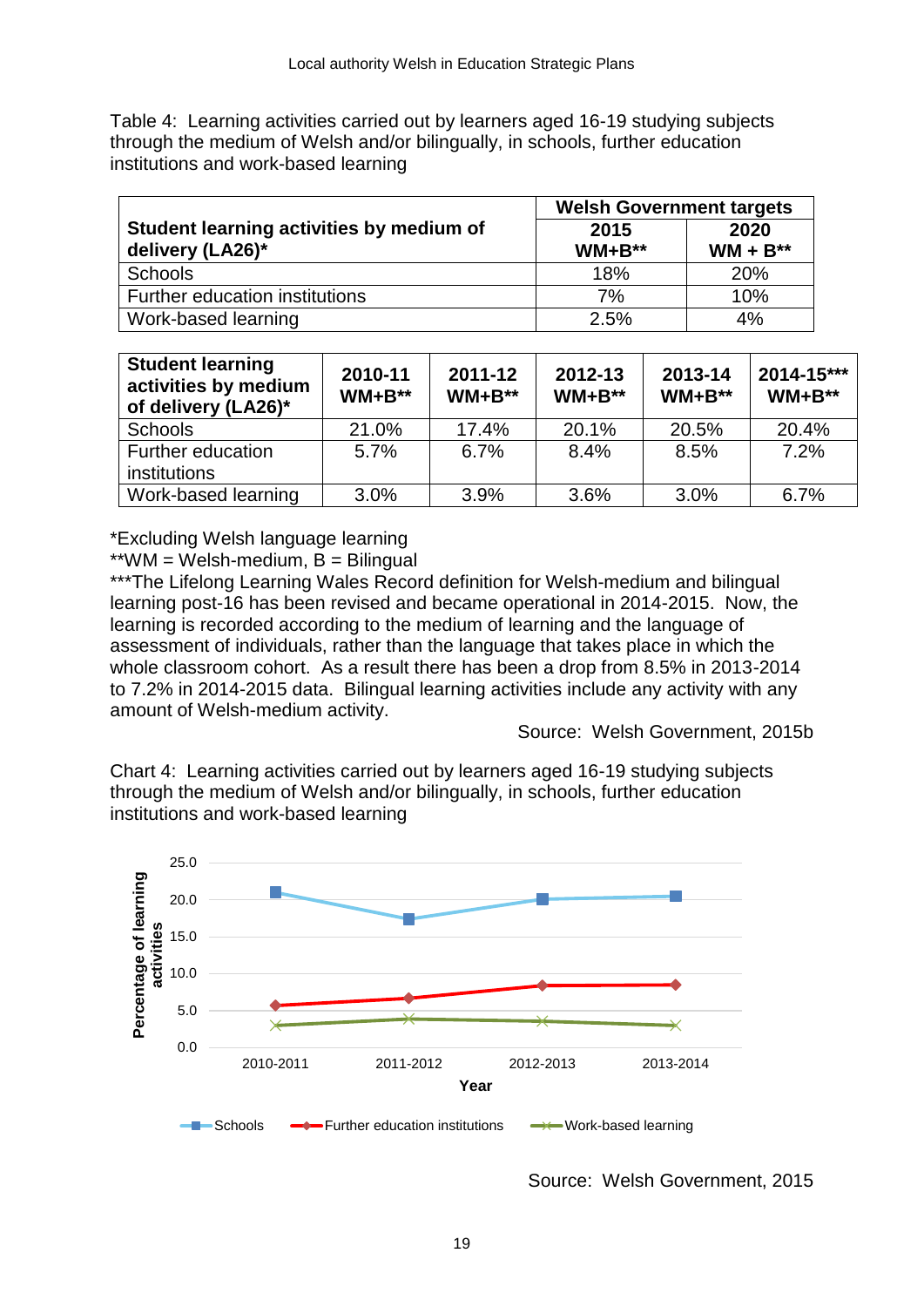Table 4: Learning activities carried out by learners aged 16-19 studying subjects through the medium of Welsh and/or bilingually, in schools, further education institutions and work-based learning

|                                                              | <b>Welsh Government targets</b> |                       |  |
|--------------------------------------------------------------|---------------------------------|-----------------------|--|
| Student learning activities by medium of<br>delivery (LA26)* | 2015<br>$WM + B^{**}$           | 2020<br>$WM + B^{**}$ |  |
| <b>Schools</b>                                               | 18%                             | 20%                   |  |
| Further education institutions                               | 7%                              | 10%                   |  |
| Work-based learning                                          | 2.5%                            | 4%                    |  |

| <b>Student learning</b><br>activities by medium<br>of delivery (LA26)* | 2010-11<br>$WM + B^{**}$ | 2011-12<br>$WM + B^{**}$ | 2012-13<br>$WM + B^{**}$ | 2013-14<br>$WM + B^{**}$ | 2014-15***<br>$WM + B^{**}$ |
|------------------------------------------------------------------------|--------------------------|--------------------------|--------------------------|--------------------------|-----------------------------|
| <b>Schools</b>                                                         | 21.0%                    | 17.4%                    | 20.1%                    | 20.5%                    | 20.4%                       |
| Further education<br>institutions                                      | 5.7%                     | 6.7%                     | 8.4%                     | 8.5%                     | 7.2%                        |
| Work-based learning                                                    | 3.0%                     | 3.9%                     | 3.6%                     | 3.0%                     | 6.7%                        |

\*Excluding Welsh language learning

 $*<sup>*</sup>WM = Welsh-medium, B = Bilingual$ 

\*\*\*The Lifelong Learning Wales Record definition for Welsh-medium and bilingual learning post-16 has been revised and became operational in 2014-2015. Now, the learning is recorded according to the medium of learning and the language of assessment of individuals, rather than the language that takes place in which the whole classroom cohort. As a result there has been a drop from 8.5% in 2013-2014 to 7.2% in 2014-2015 data. Bilingual learning activities include any activity with any amount of Welsh-medium activity.

Source: Welsh Government, 2015b

Chart 4: Learning activities carried out by learners aged 16-19 studying subjects through the medium of Welsh and/or bilingually, in schools, further education institutions and work-based learning



Source: Welsh Government, 2015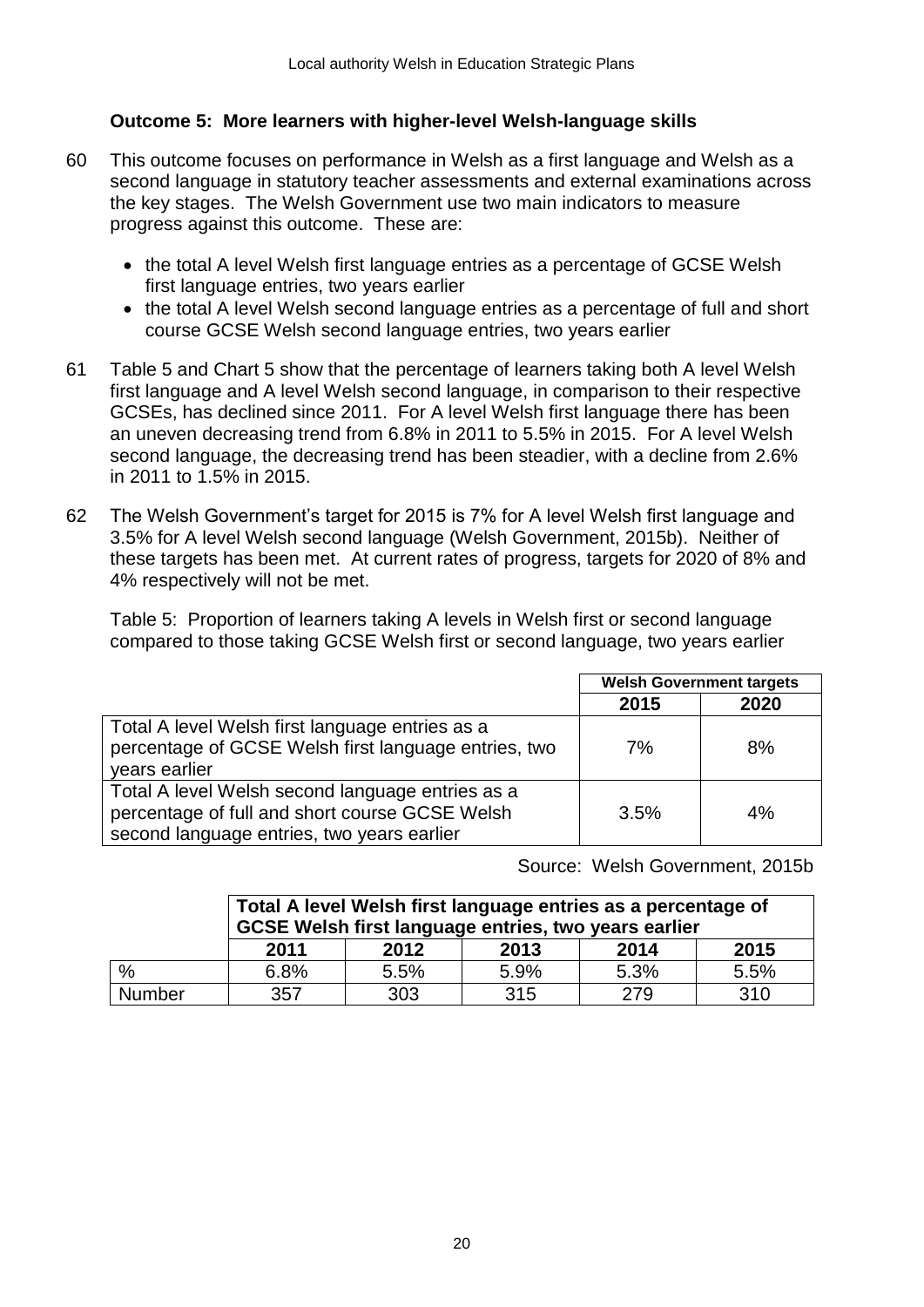# **Outcome 5: More learners with higher-level Welsh-language skills**

- 60 This outcome focuses on performance in Welsh as a first language and Welsh as a second language in statutory teacher assessments and external examinations across the key stages. The Welsh Government use two main indicators to measure progress against this outcome. These are:
	- the total A level Welsh first language entries as a percentage of GCSE Welsh first language entries, two years earlier
	- the total A level Welsh second language entries as a percentage of full and short course GCSE Welsh second language entries, two years earlier
- 61 Table 5 and Chart 5 show that the percentage of learners taking both A level Welsh first language and A level Welsh second language, in comparison to their respective GCSEs, has declined since 2011. For A level Welsh first language there has been an uneven decreasing trend from 6.8% in 2011 to 5.5% in 2015. For A level Welsh second language, the decreasing trend has been steadier, with a decline from 2.6% in 2011 to 1.5% in 2015.
- 62 The Welsh Government's target for 2015 is 7% for A level Welsh first language and 3.5% for A level Welsh second language (Welsh Government, 2015b). Neither of these targets has been met. At current rates of progress, targets for 2020 of 8% and 4% respectively will not be met.

Table 5: Proportion of learners taking A levels in Welsh first or second language compared to those taking GCSE Welsh first or second language, two years earlier

|                                                                                                                                                  | <b>Welsh Government targets</b> |      |
|--------------------------------------------------------------------------------------------------------------------------------------------------|---------------------------------|------|
|                                                                                                                                                  | 2015                            | 2020 |
| Total A level Welsh first language entries as a<br>percentage of GCSE Welsh first language entries, two<br>years earlier                         | 7%                              | 8%   |
| Total A level Welsh second language entries as a<br>percentage of full and short course GCSE Welsh<br>second language entries, two years earlier | 3.5%                            | 4%   |

Source: Welsh Government, 2015b

|        | Total A level Welsh first language entries as a percentage of<br>GCSE Welsh first language entries, two years earlier |      |      |      |      |  |  |  |
|--------|-----------------------------------------------------------------------------------------------------------------------|------|------|------|------|--|--|--|
|        | 2011                                                                                                                  | 2012 | 2013 | 2014 | 2015 |  |  |  |
| ℅      | 6.8%                                                                                                                  | 5.5% | 5.9% | 5.3% | 5.5% |  |  |  |
| Number | 357                                                                                                                   | 303  | 315  | 279  | 310  |  |  |  |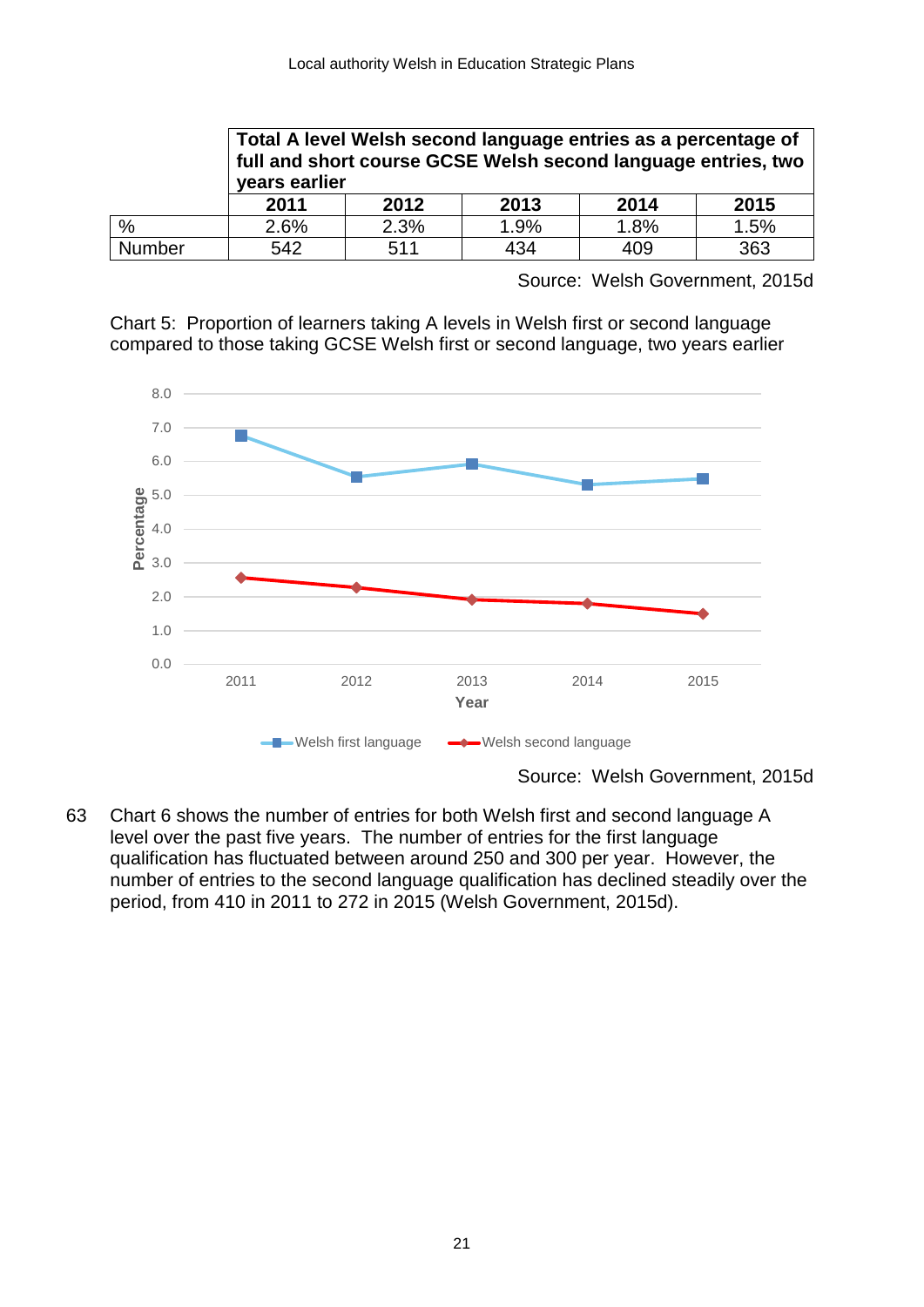|               | Total A level Welsh second language entries as a percentage of<br>full and short course GCSE Welsh second language entries, two<br>years earlier |      |      |      |      |  |
|---------------|--------------------------------------------------------------------------------------------------------------------------------------------------|------|------|------|------|--|
|               | 2011                                                                                                                                             | 2012 | 2013 | 2014 | 2015 |  |
| $\frac{0}{0}$ | 2.6%                                                                                                                                             | 2.3% | 1.9% | 1.8% | 1.5% |  |
| <b>Number</b> | 542                                                                                                                                              | 511  | 434  | 409  | 363  |  |

Source: Welsh Government, 2015d

Chart 5: Proportion of learners taking A levels in Welsh first or second language compared to those taking GCSE Welsh first or second language, two years earlier



Source: Welsh Government, 2015d

63 Chart 6 shows the number of entries for both Welsh first and second language A level over the past five years. The number of entries for the first language qualification has fluctuated between around 250 and 300 per year. However, the number of entries to the second language qualification has declined steadily over the period, from 410 in 2011 to 272 in 2015 (Welsh Government, 2015d).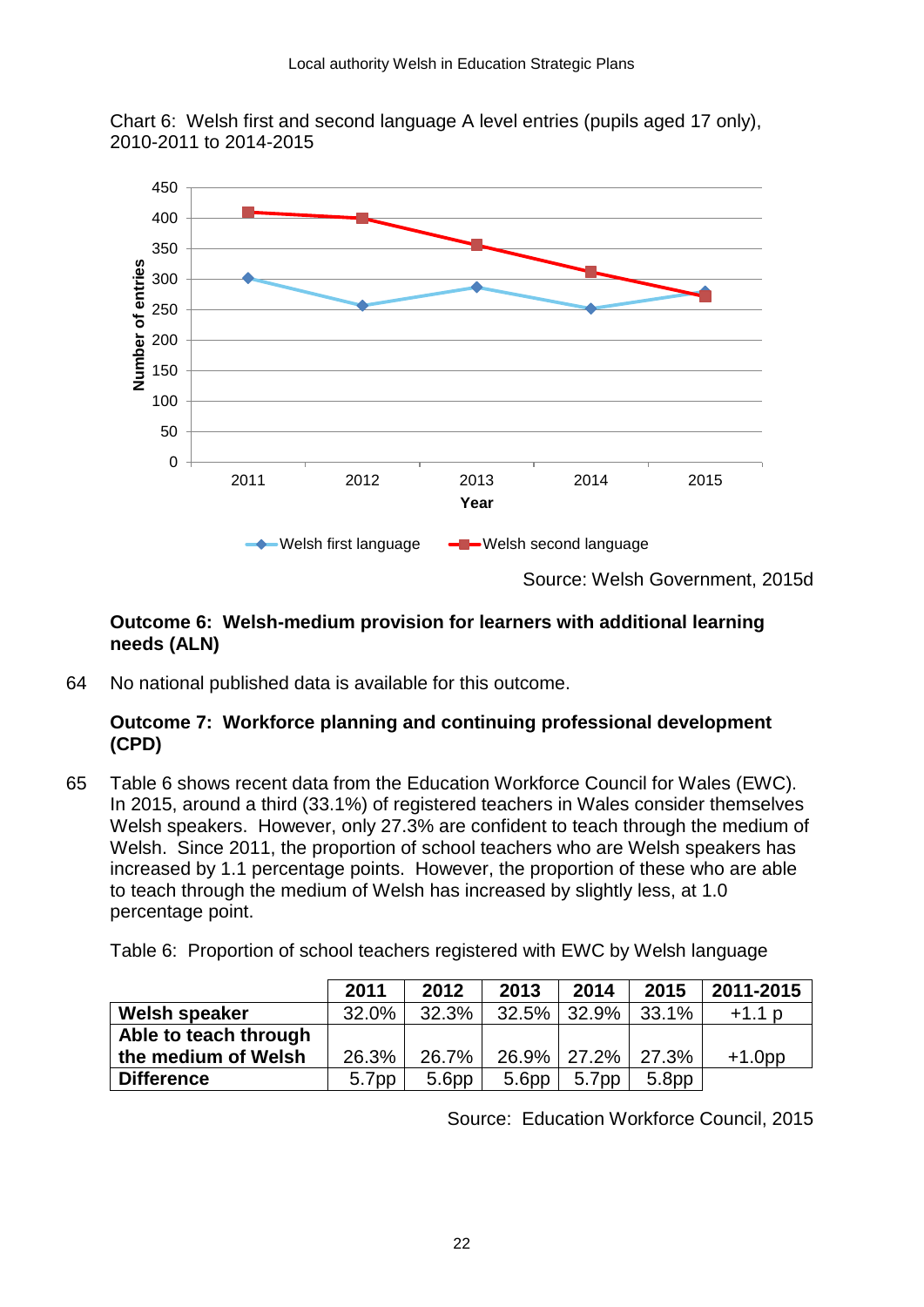Chart 6: Welsh first and second language A level entries (pupils aged 17 only), 2010-2011 to 2014-2015



# **Outcome 6: Welsh-medium provision for learners with additional learning needs (ALN)**

64 No national published data is available for this outcome.

# **Outcome 7: Workforce planning and continuing professional development (CPD)**

65 Table 6 shows recent data from the Education Workforce Council for Wales (EWC). In 2015, around a third (33.1%) of registered teachers in Wales consider themselves Welsh speakers. However, only 27.3% are confident to teach through the medium of Welsh. Since 2011, the proportion of school teachers who are Welsh speakers has increased by 1.1 percentage points. However, the proportion of these who are able to teach through the medium of Welsh has increased by slightly less, at 1.0 percentage point.

Table 6: Proportion of school teachers registered with EWC by Welsh language

|                       | 2011  | 2012              | 2013              | 2014        | 2015  | 2011-2015 |
|-----------------------|-------|-------------------|-------------------|-------------|-------|-----------|
| Welsh speaker         | 32.0% | 32.3%             |                   | 32.5% 32.9% | 33.1% | $+1.1 p$  |
| Able to teach through |       |                   |                   |             |       |           |
| the medium of Welsh   | 26.3% | 26.7%             |                   | 26.9% 27.2% | 27.3% | $+1.0$ pp |
| <b>Difference</b>     | 5.7pp | 5.6 <sub>pp</sub> | 5.6 <sub>pp</sub> | 5.7pp       | 5.8pp |           |

Source: Education Workforce Council, 2015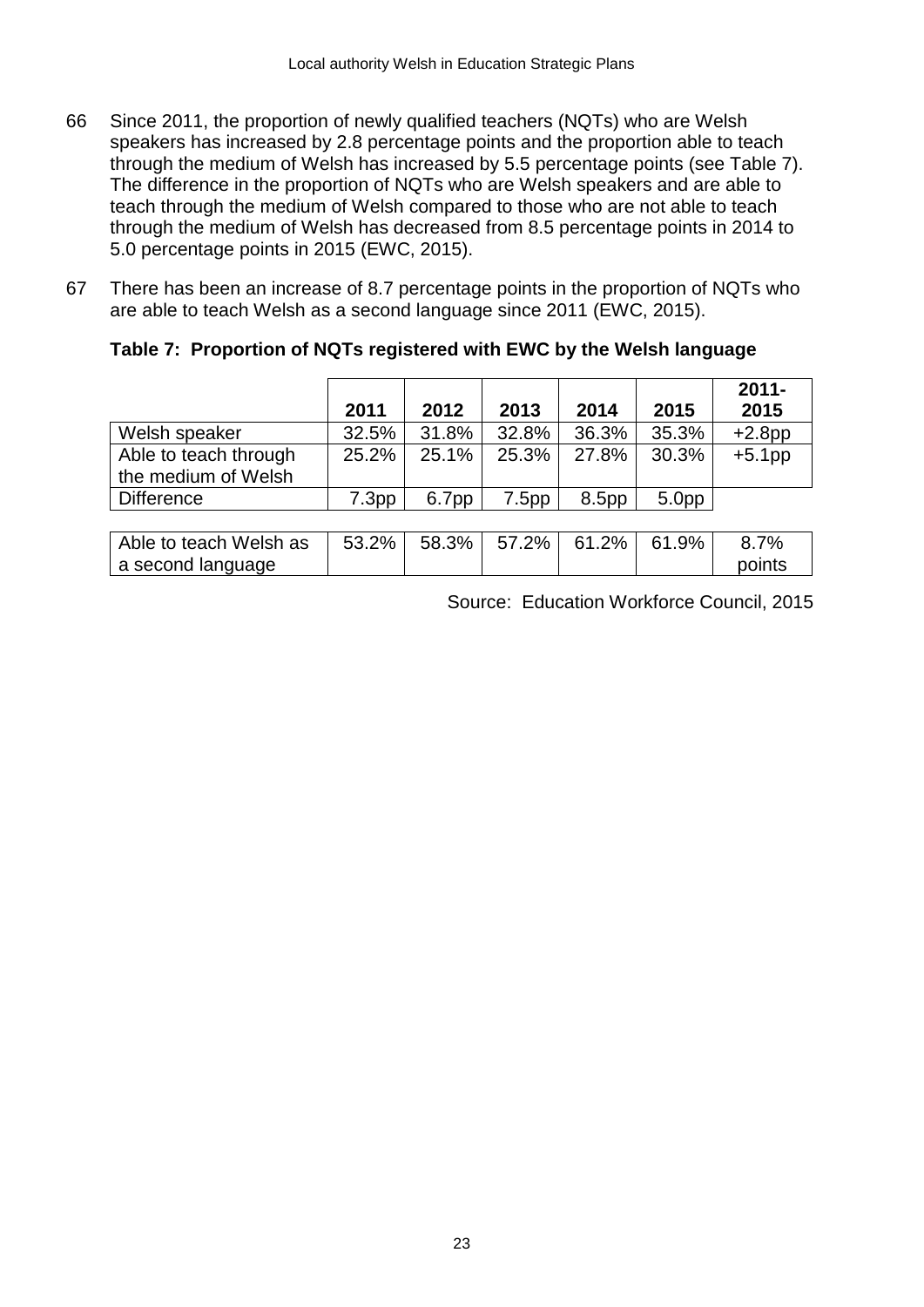- 66 Since 2011, the proportion of newly qualified teachers (NQTs) who are Welsh speakers has increased by 2.8 percentage points and the proportion able to teach through the medium of Welsh has increased by 5.5 percentage points (see Table 7). The difference in the proportion of NQTs who are Welsh speakers and are able to teach through the medium of Welsh compared to those who are not able to teach through the medium of Welsh has decreased from 8.5 percentage points in 2014 to 5.0 percentage points in 2015 (EWC, 2015).
- 67 There has been an increase of 8.7 percentage points in the proportion of NQTs who are able to teach Welsh as a second language since 2011 (EWC, 2015).

|                                              | 2011  | 2012  | 2013  | 2014              | 2015              | $2011 -$<br>2015 |
|----------------------------------------------|-------|-------|-------|-------------------|-------------------|------------------|
| Welsh speaker                                | 32.5% | 31.8% | 32.8% | 36.3%             | 35.3%             | $+2.8$ pp        |
| Able to teach through<br>the medium of Welsh | 25.2% | 25.1% | 25.3% | 27.8%             | 30.3%             | $+5.1$ pp        |
| <b>Difference</b>                            | 7.3pp | 6.7pp | 7.5pp | 8.5 <sub>pp</sub> | 5.0 <sub>pp</sub> |                  |

### **Table 7: Proportion of NQTs registered with EWC by the Welsh language**

Able to teach Welsh as a second language

|  | Source: Education Workforce Council, 2015 |  |
|--|-------------------------------------------|--|

points

 $53.2\%$  58.3% 57.2% 61.2% 61.9% 8.7%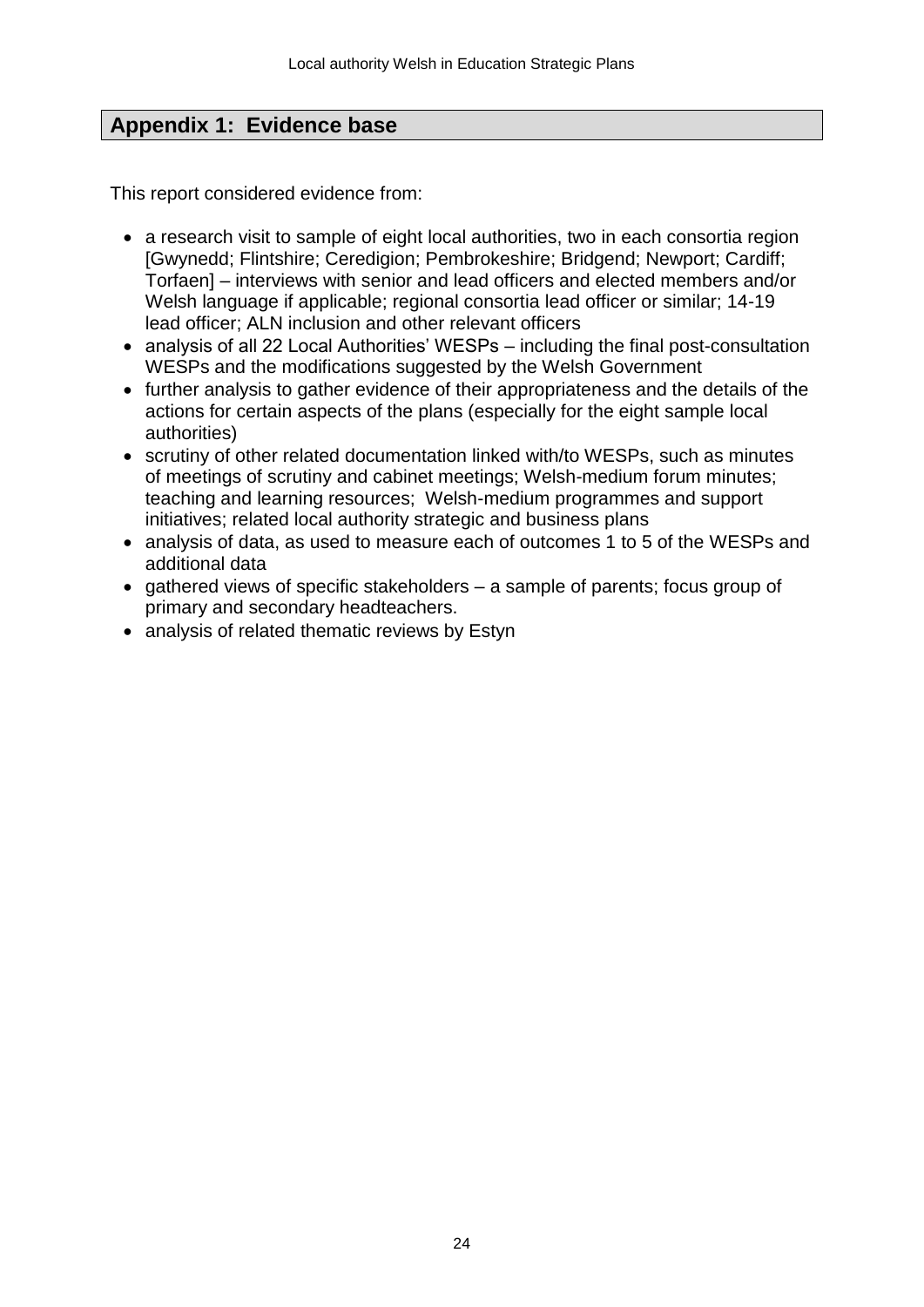# **Appendix 1: Evidence base**

This report considered evidence from:

- a research visit to sample of eight local authorities, two in each consortia region [Gwynedd; Flintshire; Ceredigion; Pembrokeshire; Bridgend; Newport; Cardiff; Torfaen] – interviews with senior and lead officers and elected members and/or Welsh language if applicable; regional consortia lead officer or similar; 14-19 lead officer; ALN inclusion and other relevant officers
- analysis of all 22 Local Authorities' WESPs including the final post-consultation WESPs and the modifications suggested by the Welsh Government
- further analysis to gather evidence of their appropriateness and the details of the actions for certain aspects of the plans (especially for the eight sample local authorities)
- scrutiny of other related documentation linked with/to WESPs, such as minutes of meetings of scrutiny and cabinet meetings; Welsh-medium forum minutes; teaching and learning resources; Welsh-medium programmes and support initiatives; related local authority strategic and business plans
- analysis of data, as used to measure each of outcomes 1 to 5 of the WESPs and additional data
- $\bullet$  gathered views of specific stakeholders a sample of parents; focus group of primary and secondary headteachers.
- analysis of related thematic reviews by Estyn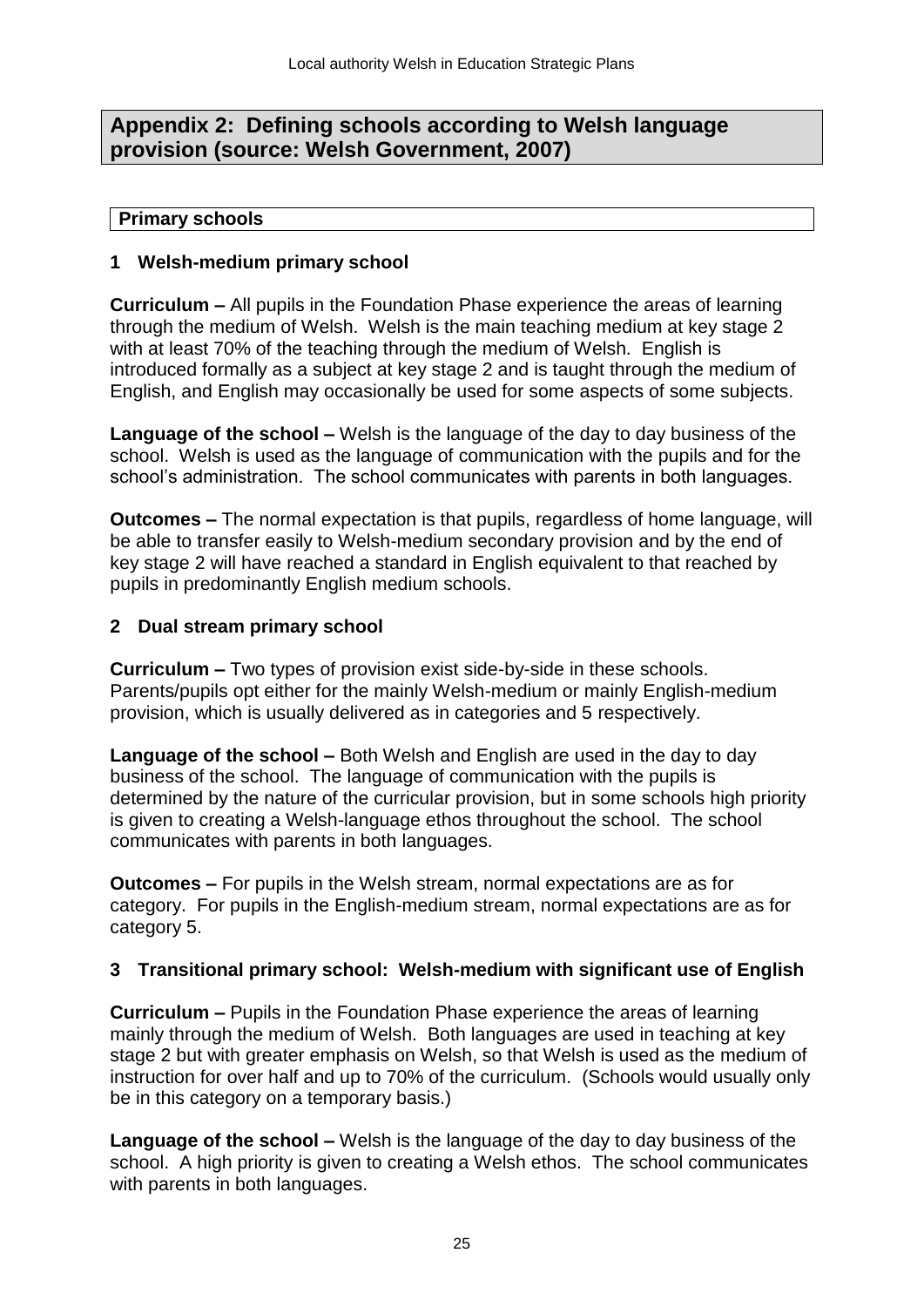# **Appendix 2: Defining schools according to Welsh language provision (source: Welsh Government, 2007)**

### **Primary schools**

### **1 Welsh-medium primary school**

**Curriculum –** All pupils in the Foundation Phase experience the areas of learning through the medium of Welsh. Welsh is the main teaching medium at key stage 2 with at least 70% of the teaching through the medium of Welsh. English is introduced formally as a subject at key stage 2 and is taught through the medium of English, and English may occasionally be used for some aspects of some subjects.

**Language of the school –** Welsh is the language of the day to day business of the school. Welsh is used as the language of communication with the pupils and for the school's administration. The school communicates with parents in both languages.

**Outcomes –** The normal expectation is that pupils, regardless of home language, will be able to transfer easily to Welsh-medium secondary provision and by the end of key stage 2 will have reached a standard in English equivalent to that reached by pupils in predominantly English medium schools.

### **2 Dual stream primary school**

**Curriculum –** Two types of provision exist side-by-side in these schools. Parents/pupils opt either for the mainly Welsh-medium or mainly English-medium provision, which is usually delivered as in categories and 5 respectively.

**Language of the school –** Both Welsh and English are used in the day to day business of the school. The language of communication with the pupils is determined by the nature of the curricular provision, but in some schools high priority is given to creating a Welsh-language ethos throughout the school. The school communicates with parents in both languages.

**Outcomes –** For pupils in the Welsh stream, normal expectations are as for category. For pupils in the English-medium stream, normal expectations are as for category 5.

# **3 Transitional primary school: Welsh-medium with significant use of English**

**Curriculum –** Pupils in the Foundation Phase experience the areas of learning mainly through the medium of Welsh. Both languages are used in teaching at key stage 2 but with greater emphasis on Welsh, so that Welsh is used as the medium of instruction for over half and up to 70% of the curriculum. (Schools would usually only be in this category on a temporary basis.)

**Language of the school –** Welsh is the language of the day to day business of the school. A high priority is given to creating a Welsh ethos. The school communicates with parents in both languages.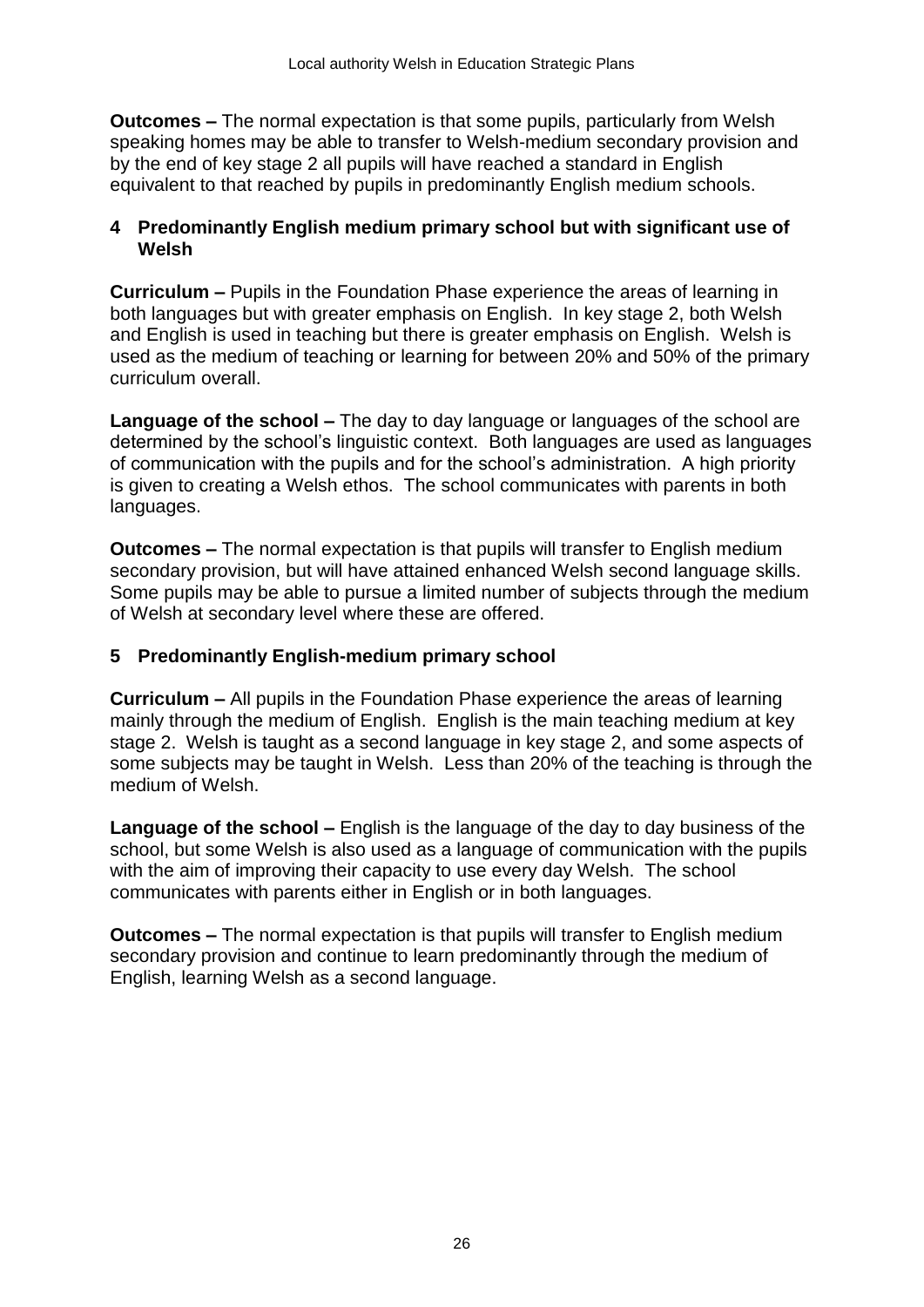**Outcomes –** The normal expectation is that some pupils, particularly from Welsh speaking homes may be able to transfer to Welsh-medium secondary provision and by the end of key stage 2 all pupils will have reached a standard in English equivalent to that reached by pupils in predominantly English medium schools.

### **4 Predominantly English medium primary school but with significant use of Welsh**

**Curriculum –** Pupils in the Foundation Phase experience the areas of learning in both languages but with greater emphasis on English. In key stage 2, both Welsh and English is used in teaching but there is greater emphasis on English. Welsh is used as the medium of teaching or learning for between 20% and 50% of the primary curriculum overall.

**Language of the school –** The day to day language or languages of the school are determined by the school's linguistic context. Both languages are used as languages of communication with the pupils and for the school's administration. A high priority is given to creating a Welsh ethos. The school communicates with parents in both languages.

**Outcomes –** The normal expectation is that pupils will transfer to English medium secondary provision, but will have attained enhanced Welsh second language skills. Some pupils may be able to pursue a limited number of subjects through the medium of Welsh at secondary level where these are offered.

# **5 Predominantly English-medium primary school**

**Curriculum –** All pupils in the Foundation Phase experience the areas of learning mainly through the medium of English. English is the main teaching medium at key stage 2. Welsh is taught as a second language in key stage 2, and some aspects of some subjects may be taught in Welsh. Less than 20% of the teaching is through the medium of Welsh.

**Language of the school –** English is the language of the day to day business of the school, but some Welsh is also used as a language of communication with the pupils with the aim of improving their capacity to use every day Welsh. The school communicates with parents either in English or in both languages.

**Outcomes –** The normal expectation is that pupils will transfer to English medium secondary provision and continue to learn predominantly through the medium of English, learning Welsh as a second language.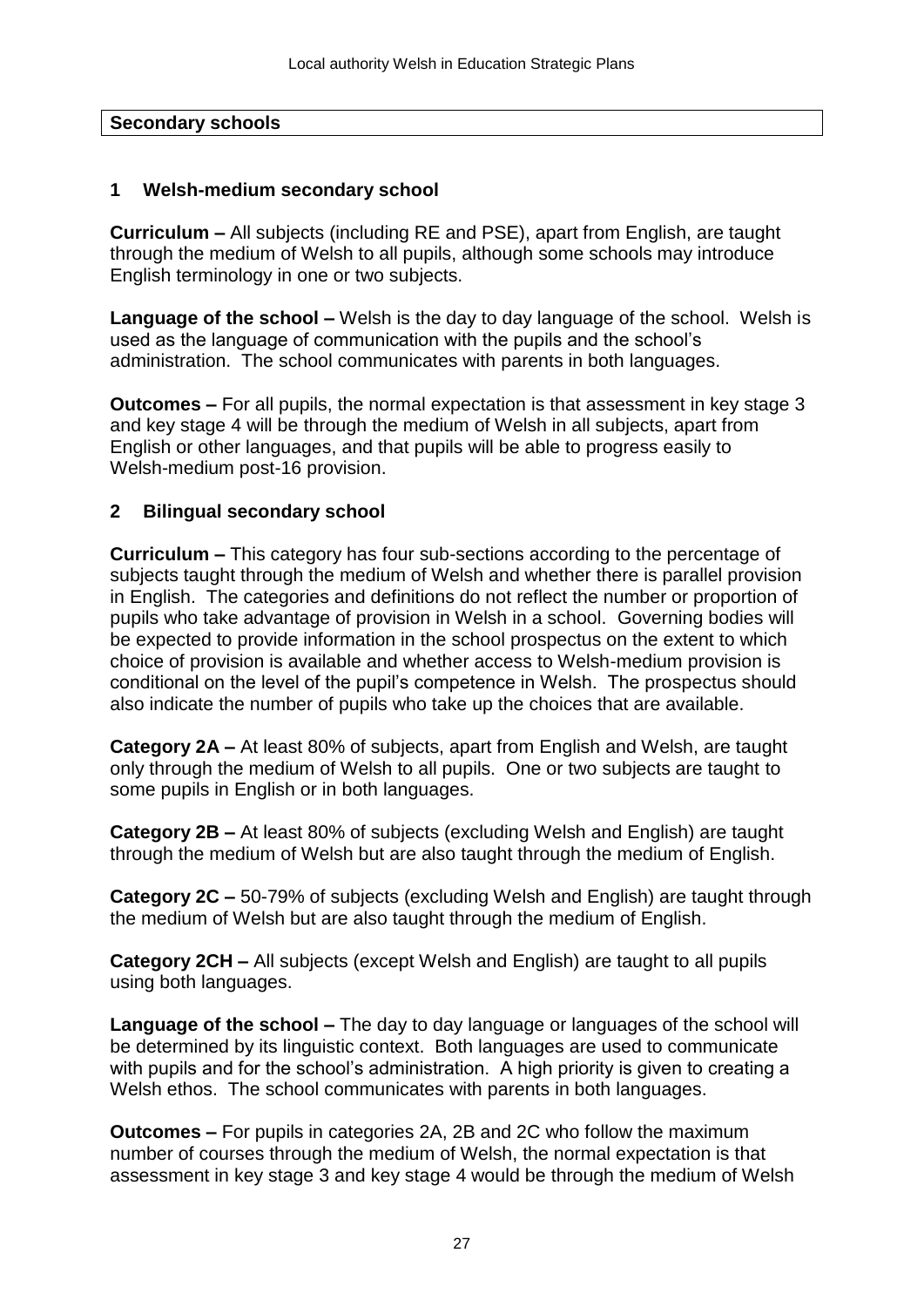### **Secondary schools**

### **1 Welsh-medium secondary school**

**Curriculum –** All subjects (including RE and PSE), apart from English, are taught through the medium of Welsh to all pupils, although some schools may introduce English terminology in one or two subjects.

**Language of the school –** Welsh is the day to day language of the school. Welsh is used as the language of communication with the pupils and the school's administration. The school communicates with parents in both languages.

**Outcomes –** For all pupils, the normal expectation is that assessment in key stage 3 and key stage 4 will be through the medium of Welsh in all subjects, apart from English or other languages, and that pupils will be able to progress easily to Welsh-medium post-16 provision.

### **2 Bilingual secondary school**

**Curriculum –** This category has four sub-sections according to the percentage of subjects taught through the medium of Welsh and whether there is parallel provision in English. The categories and definitions do not reflect the number or proportion of pupils who take advantage of provision in Welsh in a school. Governing bodies will be expected to provide information in the school prospectus on the extent to which choice of provision is available and whether access to Welsh-medium provision is conditional on the level of the pupil's competence in Welsh. The prospectus should also indicate the number of pupils who take up the choices that are available.

**Category 2A –** At least 80% of subjects, apart from English and Welsh, are taught only through the medium of Welsh to all pupils. One or two subjects are taught to some pupils in English or in both languages.

**Category 2B –** At least 80% of subjects (excluding Welsh and English) are taught through the medium of Welsh but are also taught through the medium of English.

**Category 2C –** 50-79% of subjects (excluding Welsh and English) are taught through the medium of Welsh but are also taught through the medium of English.

**Category 2CH –** All subjects (except Welsh and English) are taught to all pupils using both languages.

**Language of the school –** The day to day language or languages of the school will be determined by its linguistic context. Both languages are used to communicate with pupils and for the school's administration. A high priority is given to creating a Welsh ethos. The school communicates with parents in both languages.

**Outcomes –** For pupils in categories 2A, 2B and 2C who follow the maximum number of courses through the medium of Welsh, the normal expectation is that assessment in key stage 3 and key stage 4 would be through the medium of Welsh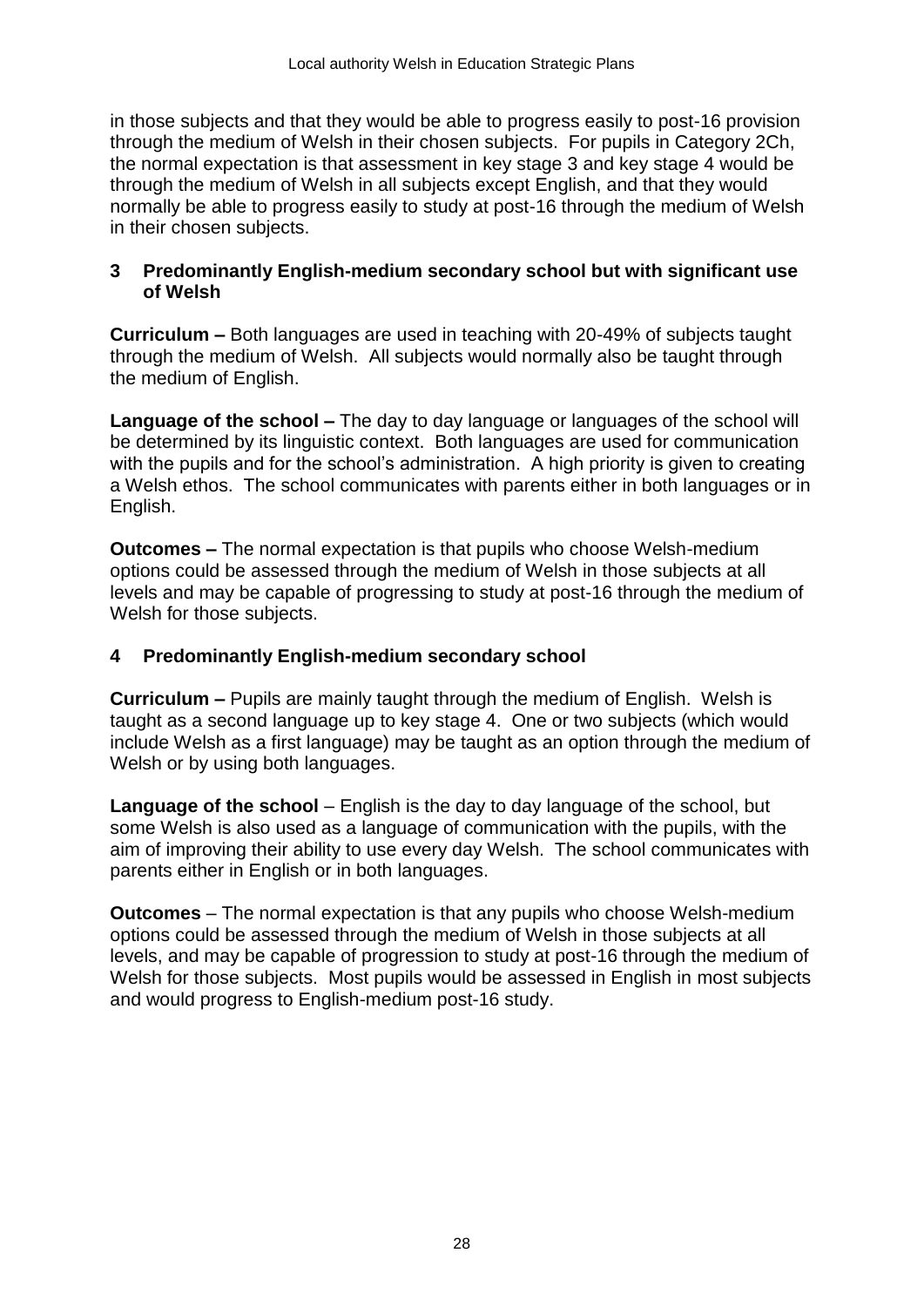in those subjects and that they would be able to progress easily to post-16 provision through the medium of Welsh in their chosen subjects. For pupils in Category 2Ch, the normal expectation is that assessment in key stage 3 and key stage 4 would be through the medium of Welsh in all subjects except English, and that they would normally be able to progress easily to study at post-16 through the medium of Welsh in their chosen subjects.

### **3 Predominantly English-medium secondary school but with significant use of Welsh**

**Curriculum –** Both languages are used in teaching with 20-49% of subjects taught through the medium of Welsh. All subjects would normally also be taught through the medium of English.

**Language of the school –** The day to day language or languages of the school will be determined by its linguistic context. Both languages are used for communication with the pupils and for the school's administration. A high priority is given to creating a Welsh ethos. The school communicates with parents either in both languages or in English.

**Outcomes –** The normal expectation is that pupils who choose Welsh-medium options could be assessed through the medium of Welsh in those subjects at all levels and may be capable of progressing to study at post-16 through the medium of Welsh for those subjects.

### **4 Predominantly English-medium secondary school**

**Curriculum –** Pupils are mainly taught through the medium of English. Welsh is taught as a second language up to key stage 4. One or two subjects (which would include Welsh as a first language) may be taught as an option through the medium of Welsh or by using both languages.

**Language of the school** – English is the day to day language of the school, but some Welsh is also used as a language of communication with the pupils, with the aim of improving their ability to use every day Welsh. The school communicates with parents either in English or in both languages.

**Outcomes** – The normal expectation is that any pupils who choose Welsh-medium options could be assessed through the medium of Welsh in those subjects at all levels, and may be capable of progression to study at post-16 through the medium of Welsh for those subjects. Most pupils would be assessed in English in most subjects and would progress to English-medium post-16 study.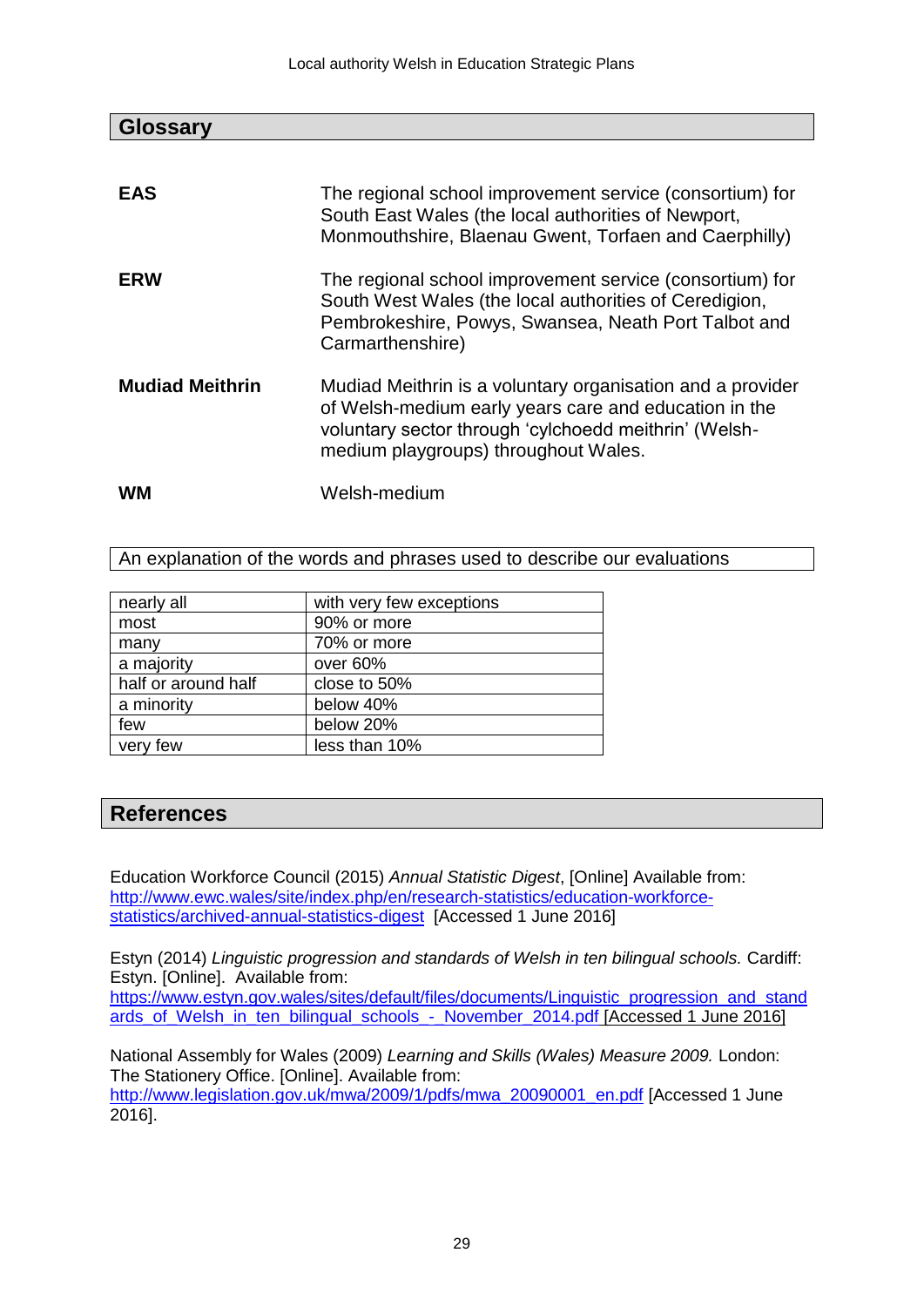| <b>Glossary</b>        |                                                                                                                                                                                                                      |
|------------------------|----------------------------------------------------------------------------------------------------------------------------------------------------------------------------------------------------------------------|
|                        |                                                                                                                                                                                                                      |
| <b>EAS</b>             | The regional school improvement service (consortium) for<br>South East Wales (the local authorities of Newport,<br>Monmouthshire, Blaenau Gwent, Torfaen and Caerphilly)                                             |
| <b>ERW</b>             | The regional school improvement service (consortium) for<br>South West Wales (the local authorities of Ceredigion,<br>Pembrokeshire, Powys, Swansea, Neath Port Talbot and<br>Carmarthenshire)                       |
| <b>Mudiad Meithrin</b> | Mudiad Meithrin is a voluntary organisation and a provider<br>of Welsh-medium early years care and education in the<br>voluntary sector through 'cylchoedd meithrin' (Welsh-<br>medium playgroups) throughout Wales. |
| wм                     | Welsh-medium                                                                                                                                                                                                         |

An explanation of the words and phrases used to describe our evaluations

| nearly all          | with very few exceptions |
|---------------------|--------------------------|
| most                | 90% or more              |
| many                | 70% or more              |
| a majority          | over 60%                 |
| half or around half | close to 50%             |
| a minority          | below 40%                |
| few                 | below 20%                |
| very few            | less than 10%            |

# **References**

Education Workforce Council (2015) *Annual Statistic Digest*, [Online] Available from: [http://www.ewc.wales/site/index.php/en/research-statistics/education-workforce](http://www.ewc.wales/site/index.php/en/research-statistics/education-workforce-statistics/archived-annual-statistics-digest)[statistics/archived-annual-statistics-digest](http://www.ewc.wales/site/index.php/en/research-statistics/education-workforce-statistics/archived-annual-statistics-digest) [Accessed 1 June 2016]

Estyn (2014) *Linguistic progression and standards of Welsh in ten bilingual schools.* Cardiff: Estyn. [Online]. Available from:

[https://www.estyn.gov.wales/sites/default/files/documents/Linguistic\\_progression\\_and\\_stand](https://www.estyn.gov.wales/sites/default/files/documents/Linguistic_progression_and_standards_of_Welsh_in_ten_bilingual_schools_-_November_2014.pdf) [ards\\_of\\_Welsh\\_in\\_ten\\_bilingual\\_schools\\_-\\_November\\_2014.pdf](https://www.estyn.gov.wales/sites/default/files/documents/Linguistic_progression_and_standards_of_Welsh_in_ten_bilingual_schools_-_November_2014.pdf) [Accessed 1 June 2016]

National Assembly for Wales (2009) *Learning and Skills (Wales) Measure 2009.* London: The Stationery Office. [Online]. Available from: [http://www.legislation.gov.uk/mwa/2009/1/pdfs/mwa\\_20090001\\_en.pdf](http://www.legislation.gov.uk/mwa/2009/1/pdfs/mwa_20090001_en.pdf) [Accessed 1 June 2016].